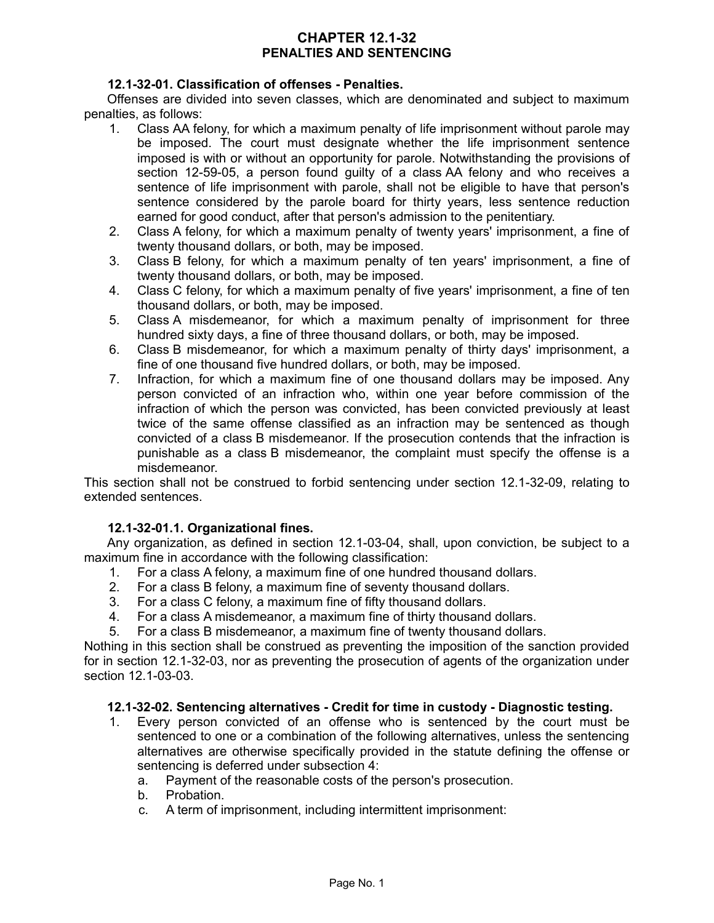# **CHAPTER 12.1-32 PENALTIES AND SENTENCING**

## **12.1-32-01. Classification of offenses - Penalties.**

Offenses are divided into seven classes, which are denominated and subject to maximum penalties, as follows:

- 1. Class AA felony, for which a maximum penalty of life imprisonment without parole may be imposed. The court must designate whether the life imprisonment sentence imposed is with or without an opportunity for parole. Notwithstanding the provisions of section 12-59-05, a person found guilty of a class AA felony and who receives a sentence of life imprisonment with parole, shall not be eligible to have that person's sentence considered by the parole board for thirty years, less sentence reduction earned for good conduct, after that person's admission to the penitentiary.
- 2. Class A felony, for which a maximum penalty of twenty years' imprisonment, a fine of twenty thousand dollars, or both, may be imposed.
- 3. Class B felony, for which a maximum penalty of ten years' imprisonment, a fine of twenty thousand dollars, or both, may be imposed.
- 4. Class C felony, for which a maximum penalty of five years' imprisonment, a fine of ten thousand dollars, or both, may be imposed.
- 5. Class A misdemeanor, for which a maximum penalty of imprisonment for three hundred sixty days, a fine of three thousand dollars, or both, may be imposed.
- 6. Class B misdemeanor, for which a maximum penalty of thirty days' imprisonment, a fine of one thousand five hundred dollars, or both, may be imposed.
- 7. Infraction, for which a maximum fine of one thousand dollars may be imposed. Any person convicted of an infraction who, within one year before commission of the infraction of which the person was convicted, has been convicted previously at least twice of the same offense classified as an infraction may be sentenced as though convicted of a class B misdemeanor. If the prosecution contends that the infraction is punishable as a class B misdemeanor, the complaint must specify the offense is a misdemeanor.

This section shall not be construed to forbid sentencing under section 12.1-32-09, relating to extended sentences.

#### **12.1-32-01.1. Organizational fines.**

Any organization, as defined in section 12.1-03-04, shall, upon conviction, be subject to a maximum fine in accordance with the following classification:

- 1. For a class A felony, a maximum fine of one hundred thousand dollars.
- 2. For a class B felony, a maximum fine of seventy thousand dollars.
- 3. For a class C felony, a maximum fine of fifty thousand dollars.
- 4. For a class A misdemeanor, a maximum fine of thirty thousand dollars.
- 5. For a class B misdemeanor, a maximum fine of twenty thousand dollars.

Nothing in this section shall be construed as preventing the imposition of the sanction provided for in section 12.1-32-03, nor as preventing the prosecution of agents of the organization under section 12.1-03-03.

#### **12.1-32-02. Sentencing alternatives - Credit for time in custody - Diagnostic testing.**

- 1. Every person convicted of an offense who is sentenced by the court must be sentenced to one or a combination of the following alternatives, unless the sentencing alternatives are otherwise specifically provided in the statute defining the offense or sentencing is deferred under subsection 4:
	- a. Payment of the reasonable costs of the person's prosecution.
	- b. Probation.
	- c. A term of imprisonment, including intermittent imprisonment: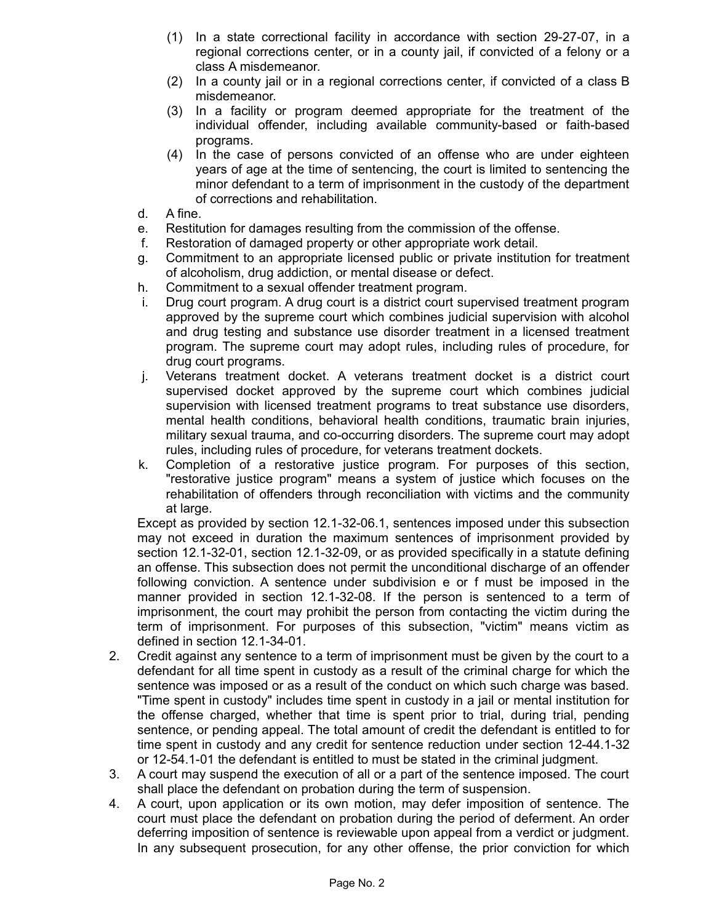- (1) In a state correctional facility in accordance with section 29-27-07, in a regional corrections center, or in a county jail, if convicted of a felony or a class A misdemeanor.
- (2) In a county jail or in a regional corrections center, if convicted of a class B misdemeanor.
- (3) In a facility or program deemed appropriate for the treatment of the individual offender, including available community-based or faith-based programs.
- (4) In the case of persons convicted of an offense who are under eighteen years of age at the time of sentencing, the court is limited to sentencing the minor defendant to a term of imprisonment in the custody of the department of corrections and rehabilitation.
- d. A fine.
- e. Restitution for damages resulting from the commission of the offense.
- f. Restoration of damaged property or other appropriate work detail.
- g. Commitment to an appropriate licensed public or private institution for treatment of alcoholism, drug addiction, or mental disease or defect.
- h. Commitment to a sexual offender treatment program.
- i. Drug court program. A drug court is a district court supervised treatment program approved by the supreme court which combines judicial supervision with alcohol and drug testing and substance use disorder treatment in a licensed treatment program. The supreme court may adopt rules, including rules of procedure, for drug court programs.
- j. Veterans treatment docket. A veterans treatment docket is a district court supervised docket approved by the supreme court which combines judicial supervision with licensed treatment programs to treat substance use disorders, mental health conditions, behavioral health conditions, traumatic brain injuries, military sexual trauma, and co-occurring disorders. The supreme court may adopt rules, including rules of procedure, for veterans treatment dockets.
- k. Completion of a restorative justice program. For purposes of this section, "restorative justice program" means a system of justice which focuses on the rehabilitation of offenders through reconciliation with victims and the community at large.

Except as provided by section 12.1-32-06.1, sentences imposed under this subsection may not exceed in duration the maximum sentences of imprisonment provided by section 12.1-32-01, section 12.1-32-09, or as provided specifically in a statute defining an offense. This subsection does not permit the unconditional discharge of an offender following conviction. A sentence under subdivision e or f must be imposed in the manner provided in section 12.1-32-08. If the person is sentenced to a term of imprisonment, the court may prohibit the person from contacting the victim during the term of imprisonment. For purposes of this subsection, "victim" means victim as defined in section 12.1-34-01.

- 2. Credit against any sentence to a term of imprisonment must be given by the court to a defendant for all time spent in custody as a result of the criminal charge for which the sentence was imposed or as a result of the conduct on which such charge was based. "Time spent in custody" includes time spent in custody in a jail or mental institution for the offense charged, whether that time is spent prior to trial, during trial, pending sentence, or pending appeal. The total amount of credit the defendant is entitled to for time spent in custody and any credit for sentence reduction under section 12-44.1-32 or 12-54.1-01 the defendant is entitled to must be stated in the criminal judgment.
- 3. A court may suspend the execution of all or a part of the sentence imposed. The court shall place the defendant on probation during the term of suspension.
- 4. A court, upon application or its own motion, may defer imposition of sentence. The court must place the defendant on probation during the period of deferment. An order deferring imposition of sentence is reviewable upon appeal from a verdict or judgment. In any subsequent prosecution, for any other offense, the prior conviction for which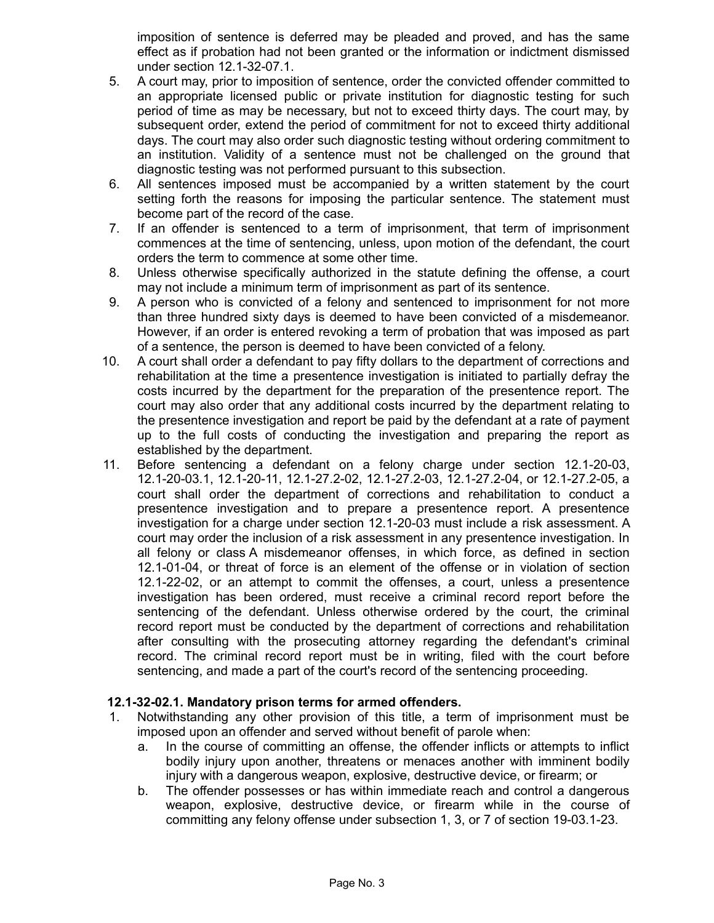imposition of sentence is deferred may be pleaded and proved, and has the same effect as if probation had not been granted or the information or indictment dismissed under section 12.1-32-07.1.

- 5. A court may, prior to imposition of sentence, order the convicted offender committed to an appropriate licensed public or private institution for diagnostic testing for such period of time as may be necessary, but not to exceed thirty days. The court may, by subsequent order, extend the period of commitment for not to exceed thirty additional days. The court may also order such diagnostic testing without ordering commitment to an institution. Validity of a sentence must not be challenged on the ground that diagnostic testing was not performed pursuant to this subsection.
- 6. All sentences imposed must be accompanied by a written statement by the court setting forth the reasons for imposing the particular sentence. The statement must become part of the record of the case.
- 7. If an offender is sentenced to a term of imprisonment, that term of imprisonment commences at the time of sentencing, unless, upon motion of the defendant, the court orders the term to commence at some other time.
- 8. Unless otherwise specifically authorized in the statute defining the offense, a court may not include a minimum term of imprisonment as part of its sentence.
- 9. A person who is convicted of a felony and sentenced to imprisonment for not more than three hundred sixty days is deemed to have been convicted of a misdemeanor. However, if an order is entered revoking a term of probation that was imposed as part of a sentence, the person is deemed to have been convicted of a felony.
- 10. A court shall order a defendant to pay fifty dollars to the department of corrections and rehabilitation at the time a presentence investigation is initiated to partially defray the costs incurred by the department for the preparation of the presentence report. The court may also order that any additional costs incurred by the department relating to the presentence investigation and report be paid by the defendant at a rate of payment up to the full costs of conducting the investigation and preparing the report as established by the department.
- 11. Before sentencing a defendant on a felony charge under section 12.1-20-03, 12.1-20-03.1, 12.1-20-11, 12.1-27.2-02, 12.1-27.2-03, 12.1-27.2-04, or 12.1-27.2-05, a court shall order the department of corrections and rehabilitation to conduct a presentence investigation and to prepare a presentence report. A presentence investigation for a charge under section 12.1-20-03 must include a risk assessment. A court may order the inclusion of a risk assessment in any presentence investigation. In all felony or class A misdemeanor offenses, in which force, as defined in section 12.1-01-04, or threat of force is an element of the offense or in violation of section 12.1-22-02, or an attempt to commit the offenses, a court, unless a presentence investigation has been ordered, must receive a criminal record report before the sentencing of the defendant. Unless otherwise ordered by the court, the criminal record report must be conducted by the department of corrections and rehabilitation after consulting with the prosecuting attorney regarding the defendant's criminal record. The criminal record report must be in writing, filed with the court before sentencing, and made a part of the court's record of the sentencing proceeding.

## **12.1-32-02.1. Mandatory prison terms for armed offenders.**

- 1. Notwithstanding any other provision of this title, a term of imprisonment must be imposed upon an offender and served without benefit of parole when:
	- a. In the course of committing an offense, the offender inflicts or attempts to inflict bodily injury upon another, threatens or menaces another with imminent bodily injury with a dangerous weapon, explosive, destructive device, or firearm; or
	- b. The offender possesses or has within immediate reach and control a dangerous weapon, explosive, destructive device, or firearm while in the course of committing any felony offense under subsection 1, 3, or 7 of section 19-03.1-23.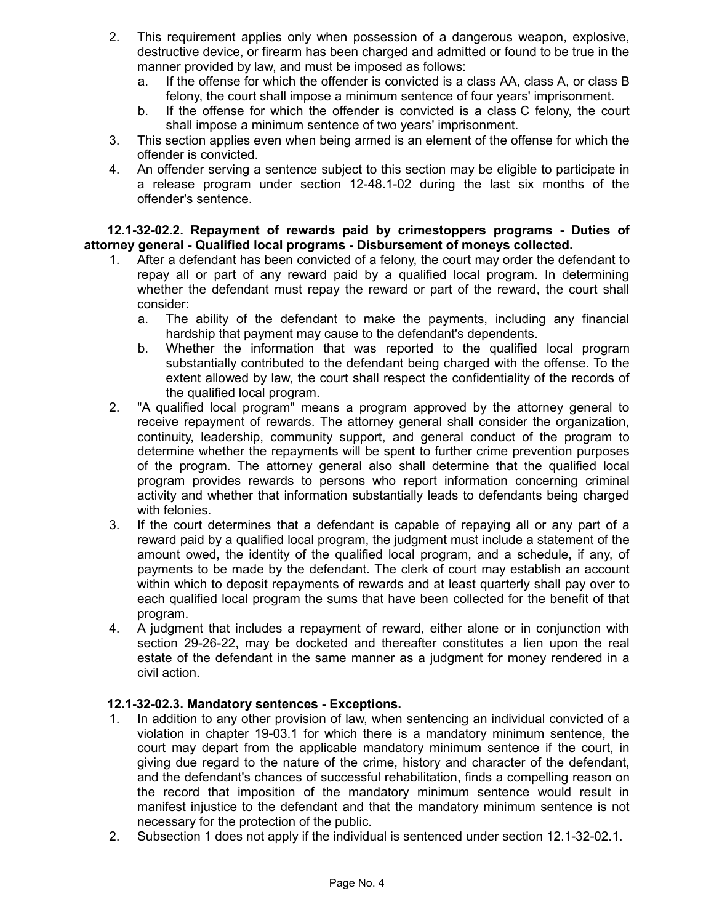- 2. This requirement applies only when possession of a dangerous weapon, explosive, destructive device, or firearm has been charged and admitted or found to be true in the manner provided by law, and must be imposed as follows:
	- a. If the offense for which the offender is convicted is a class AA, class A, or class B felony, the court shall impose a minimum sentence of four years' imprisonment.
	- b. If the offense for which the offender is convicted is a class C felony, the court shall impose a minimum sentence of two years' imprisonment.
- 3. This section applies even when being armed is an element of the offense for which the offender is convicted.
- 4. An offender serving a sentence subject to this section may be eligible to participate in a release program under section 12-48.1-02 during the last six months of the offender's sentence.

#### **12.1-32-02.2. Repayment of rewards paid by crimestoppers programs - Duties of attorney general - Qualified local programs - Disbursement of moneys collected.**

- 1. After a defendant has been convicted of a felony, the court may order the defendant to repay all or part of any reward paid by a qualified local program. In determining whether the defendant must repay the reward or part of the reward, the court shall consider:
	- a. The ability of the defendant to make the payments, including any financial hardship that payment may cause to the defendant's dependents.
	- b. Whether the information that was reported to the qualified local program substantially contributed to the defendant being charged with the offense. To the extent allowed by law, the court shall respect the confidentiality of the records of the qualified local program.
- 2. "A qualified local program" means a program approved by the attorney general to receive repayment of rewards. The attorney general shall consider the organization, continuity, leadership, community support, and general conduct of the program to determine whether the repayments will be spent to further crime prevention purposes of the program. The attorney general also shall determine that the qualified local program provides rewards to persons who report information concerning criminal activity and whether that information substantially leads to defendants being charged with felonies.
- 3. If the court determines that a defendant is capable of repaying all or any part of a reward paid by a qualified local program, the judgment must include a statement of the amount owed, the identity of the qualified local program, and a schedule, if any, of payments to be made by the defendant. The clerk of court may establish an account within which to deposit repayments of rewards and at least quarterly shall pay over to each qualified local program the sums that have been collected for the benefit of that program.
- 4. A judgment that includes a repayment of reward, either alone or in conjunction with section 29-26-22, may be docketed and thereafter constitutes a lien upon the real estate of the defendant in the same manner as a judgment for money rendered in a civil action.

## **12.1-32-02.3. Mandatory sentences - Exceptions.**

- 1. In addition to any other provision of law, when sentencing an individual convicted of a violation in chapter 19-03.1 for which there is a mandatory minimum sentence, the court may depart from the applicable mandatory minimum sentence if the court, in giving due regard to the nature of the crime, history and character of the defendant, and the defendant's chances of successful rehabilitation, finds a compelling reason on the record that imposition of the mandatory minimum sentence would result in manifest injustice to the defendant and that the mandatory minimum sentence is not necessary for the protection of the public.
- 2. Subsection 1 does not apply if the individual is sentenced under section 12.1-32-02.1.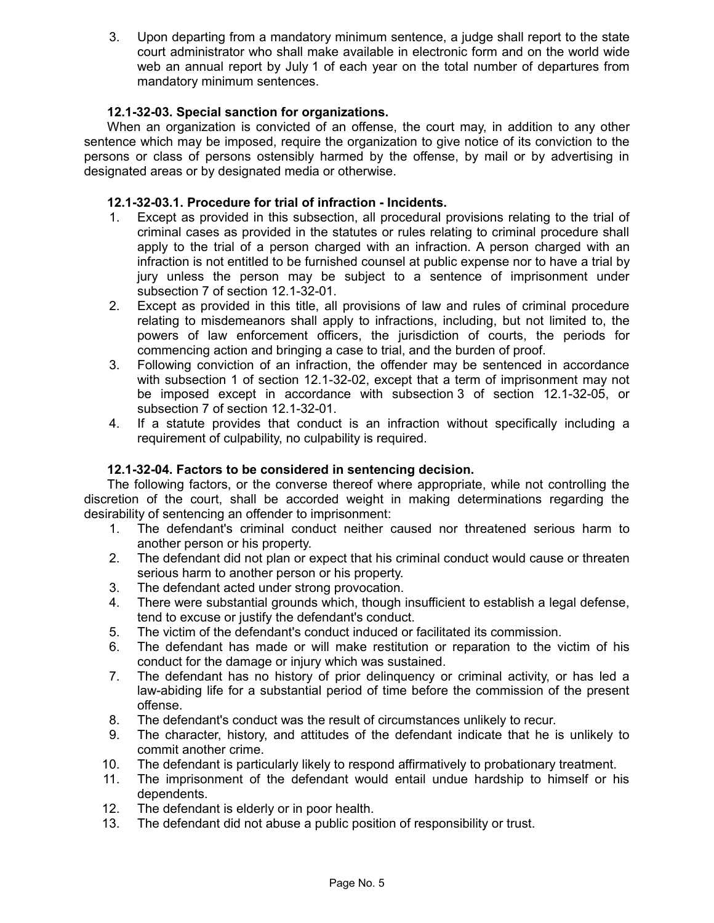3. Upon departing from a mandatory minimum sentence, a judge shall report to the state court administrator who shall make available in electronic form and on the world wide web an annual report by July 1 of each year on the total number of departures from mandatory minimum sentences.

# **12.1-32-03. Special sanction for organizations.**

When an organization is convicted of an offense, the court may, in addition to any other sentence which may be imposed, require the organization to give notice of its conviction to the persons or class of persons ostensibly harmed by the offense, by mail or by advertising in designated areas or by designated media or otherwise.

## **12.1-32-03.1. Procedure for trial of infraction - Incidents.**

- 1. Except as provided in this subsection, all procedural provisions relating to the trial of criminal cases as provided in the statutes or rules relating to criminal procedure shall apply to the trial of a person charged with an infraction. A person charged with an infraction is not entitled to be furnished counsel at public expense nor to have a trial by jury unless the person may be subject to a sentence of imprisonment under subsection 7 of section 12.1-32-01.
- 2. Except as provided in this title, all provisions of law and rules of criminal procedure relating to misdemeanors shall apply to infractions, including, but not limited to, the powers of law enforcement officers, the jurisdiction of courts, the periods for commencing action and bringing a case to trial, and the burden of proof.
- 3. Following conviction of an infraction, the offender may be sentenced in accordance with subsection 1 of section 12.1-32-02, except that a term of imprisonment may not be imposed except in accordance with subsection 3 of section 12.1-32-05, or subsection 7 of section 12.1-32-01.
- 4. If a statute provides that conduct is an infraction without specifically including a requirement of culpability, no culpability is required.

## **12.1-32-04. Factors to be considered in sentencing decision.**

The following factors, or the converse thereof where appropriate, while not controlling the discretion of the court, shall be accorded weight in making determinations regarding the desirability of sentencing an offender to imprisonment:

- 1. The defendant's criminal conduct neither caused nor threatened serious harm to another person or his property.
- 2. The defendant did not plan or expect that his criminal conduct would cause or threaten serious harm to another person or his property.
- 3. The defendant acted under strong provocation.
- 4. There were substantial grounds which, though insufficient to establish a legal defense, tend to excuse or justify the defendant's conduct.
- 5. The victim of the defendant's conduct induced or facilitated its commission.
- 6. The defendant has made or will make restitution or reparation to the victim of his conduct for the damage or injury which was sustained.
- 7. The defendant has no history of prior delinquency or criminal activity, or has led a law-abiding life for a substantial period of time before the commission of the present offense.
- 8. The defendant's conduct was the result of circumstances unlikely to recur.
- 9. The character, history, and attitudes of the defendant indicate that he is unlikely to commit another crime.
- 10. The defendant is particularly likely to respond affirmatively to probationary treatment.
- 11. The imprisonment of the defendant would entail undue hardship to himself or his dependents.
- 12. The defendant is elderly or in poor health.
- 13. The defendant did not abuse a public position of responsibility or trust.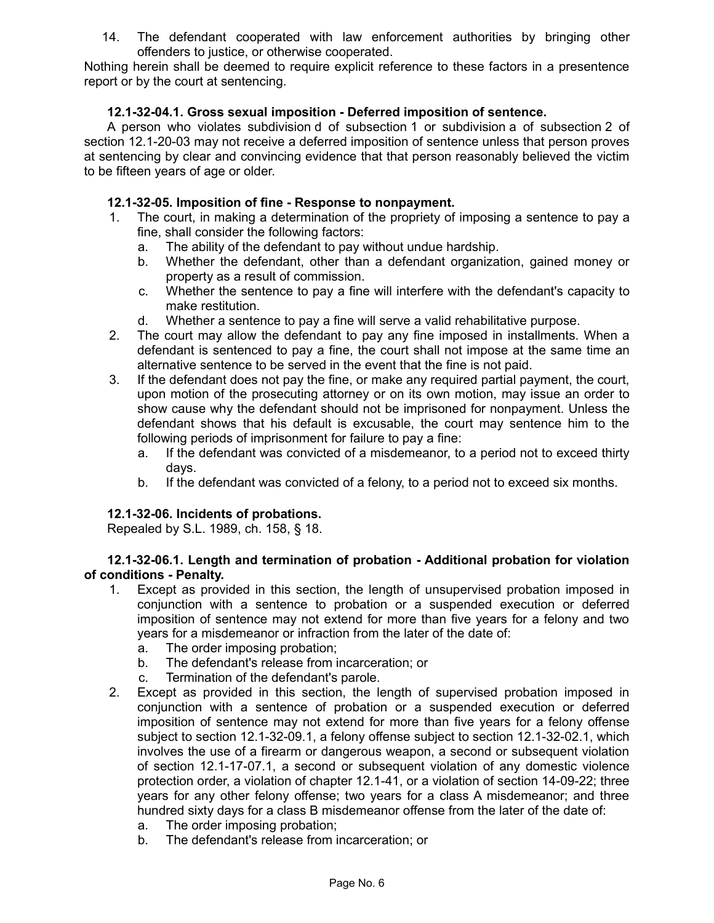14. The defendant cooperated with law enforcement authorities by bringing other offenders to justice, or otherwise cooperated.

Nothing herein shall be deemed to require explicit reference to these factors in a presentence report or by the court at sentencing.

# **12.1-32-04.1. Gross sexual imposition - Deferred imposition of sentence.**

A person who violates subdivision d of subsection 1 or subdivision a of subsection 2 of section 12.1-20-03 may not receive a deferred imposition of sentence unless that person proves at sentencing by clear and convincing evidence that that person reasonably believed the victim to be fifteen years of age or older.

# **12.1-32-05. Imposition of fine - Response to nonpayment.**

- 1. The court, in making a determination of the propriety of imposing a sentence to pay a fine, shall consider the following factors:
	- a. The ability of the defendant to pay without undue hardship.
	- b. Whether the defendant, other than a defendant organization, gained money or property as a result of commission.
	- c. Whether the sentence to pay a fine will interfere with the defendant's capacity to make restitution.
	- d. Whether a sentence to pay a fine will serve a valid rehabilitative purpose.
- 2. The court may allow the defendant to pay any fine imposed in installments. When a defendant is sentenced to pay a fine, the court shall not impose at the same time an alternative sentence to be served in the event that the fine is not paid.
- 3. If the defendant does not pay the fine, or make any required partial payment, the court, upon motion of the prosecuting attorney or on its own motion, may issue an order to show cause why the defendant should not be imprisoned for nonpayment. Unless the defendant shows that his default is excusable, the court may sentence him to the following periods of imprisonment for failure to pay a fine:
	- a. If the defendant was convicted of a misdemeanor, to a period not to exceed thirty days.
	- b. If the defendant was convicted of a felony, to a period not to exceed six months.

## **12.1-32-06. Incidents of probations.**

Repealed by S.L. 1989, ch. 158, § 18.

## **12.1-32-06.1. Length and termination of probation - Additional probation for violation of conditions - Penalty.**

- 1. Except as provided in this section, the length of unsupervised probation imposed in conjunction with a sentence to probation or a suspended execution or deferred imposition of sentence may not extend for more than five years for a felony and two years for a misdemeanor or infraction from the later of the date of:
	- a. The order imposing probation;
	- b. The defendant's release from incarceration; or
	- c. Termination of the defendant's parole.
- 2. Except as provided in this section, the length of supervised probation imposed in conjunction with a sentence of probation or a suspended execution or deferred imposition of sentence may not extend for more than five years for a felony offense subject to section 12.1-32-09.1, a felony offense subject to section 12.1-32-02.1, which involves the use of a firearm or dangerous weapon, a second or subsequent violation of section 12.1-17-07.1, a second or subsequent violation of any domestic violence protection order, a violation of chapter 12.1-41, or a violation of section 14-09-22; three years for any other felony offense; two years for a class A misdemeanor; and three hundred sixty days for a class B misdemeanor offense from the later of the date of:
	- a. The order imposing probation;
	- b. The defendant's release from incarceration; or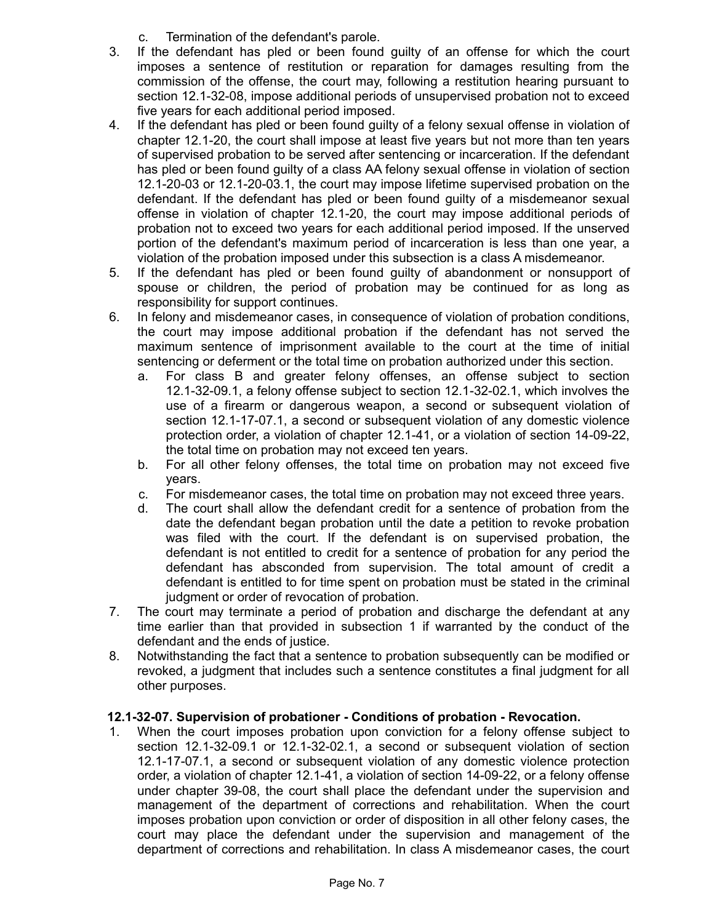- c. Termination of the defendant's parole.
- 3. If the defendant has pled or been found guilty of an offense for which the court imposes a sentence of restitution or reparation for damages resulting from the commission of the offense, the court may, following a restitution hearing pursuant to section 12.1-32-08, impose additional periods of unsupervised probation not to exceed five years for each additional period imposed.
- 4. If the defendant has pled or been found guilty of a felony sexual offense in violation of chapter 12.1-20, the court shall impose at least five years but not more than ten years of supervised probation to be served after sentencing or incarceration. If the defendant has pled or been found guilty of a class AA felony sexual offense in violation of section 12.1-20-03 or 12.1-20-03.1, the court may impose lifetime supervised probation on the defendant. If the defendant has pled or been found guilty of a misdemeanor sexual offense in violation of chapter 12.1-20, the court may impose additional periods of probation not to exceed two years for each additional period imposed. If the unserved portion of the defendant's maximum period of incarceration is less than one year, a violation of the probation imposed under this subsection is a class A misdemeanor.
- 5. If the defendant has pled or been found guilty of abandonment or nonsupport of spouse or children, the period of probation may be continued for as long as responsibility for support continues.
- 6. In felony and misdemeanor cases, in consequence of violation of probation conditions, the court may impose additional probation if the defendant has not served the maximum sentence of imprisonment available to the court at the time of initial sentencing or deferment or the total time on probation authorized under this section.
	- a. For class B and greater felony offenses, an offense subject to section 12.1-32-09.1, a felony offense subject to section 12.1-32-02.1, which involves the use of a firearm or dangerous weapon, a second or subsequent violation of section 12.1-17-07.1, a second or subsequent violation of any domestic violence protection order, a violation of chapter 12.1-41, or a violation of section 14-09-22, the total time on probation may not exceed ten years.
	- b. For all other felony offenses, the total time on probation may not exceed five years.
	- c. For misdemeanor cases, the total time on probation may not exceed three years.
	- d. The court shall allow the defendant credit for a sentence of probation from the date the defendant began probation until the date a petition to revoke probation was filed with the court. If the defendant is on supervised probation, the defendant is not entitled to credit for a sentence of probation for any period the defendant has absconded from supervision. The total amount of credit a defendant is entitled to for time spent on probation must be stated in the criminal judgment or order of revocation of probation.
- 7. The court may terminate a period of probation and discharge the defendant at any time earlier than that provided in subsection 1 if warranted by the conduct of the defendant and the ends of justice.
- 8. Notwithstanding the fact that a sentence to probation subsequently can be modified or revoked, a judgment that includes such a sentence constitutes a final judgment for all other purposes.

# **12.1-32-07. Supervision of probationer - Conditions of probation - Revocation.**

1. When the court imposes probation upon conviction for a felony offense subject to section 12.1-32-09.1 or 12.1-32-02.1, a second or subsequent violation of section 12.1-17-07.1, a second or subsequent violation of any domestic violence protection order, a violation of chapter 12.1-41, a violation of section 14-09-22, or a felony offense under chapter 39-08, the court shall place the defendant under the supervision and management of the department of corrections and rehabilitation. When the court imposes probation upon conviction or order of disposition in all other felony cases, the court may place the defendant under the supervision and management of the department of corrections and rehabilitation. In class A misdemeanor cases, the court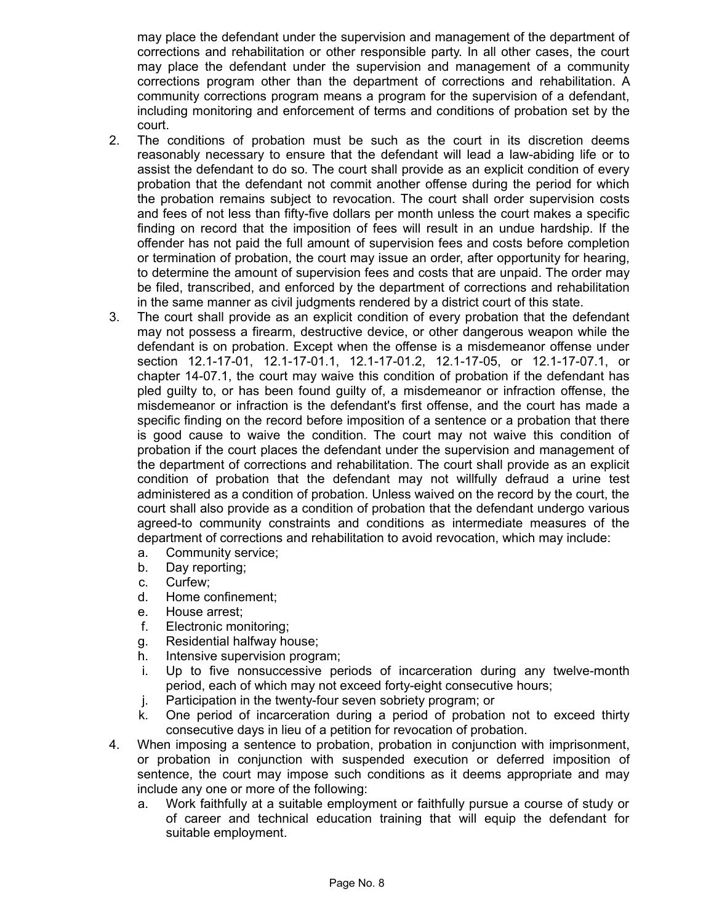may place the defendant under the supervision and management of the department of corrections and rehabilitation or other responsible party. In all other cases, the court may place the defendant under the supervision and management of a community corrections program other than the department of corrections and rehabilitation. A community corrections program means a program for the supervision of a defendant, including monitoring and enforcement of terms and conditions of probation set by the court.

- 2. The conditions of probation must be such as the court in its discretion deems reasonably necessary to ensure that the defendant will lead a law-abiding life or to assist the defendant to do so. The court shall provide as an explicit condition of every probation that the defendant not commit another offense during the period for which the probation remains subject to revocation. The court shall order supervision costs and fees of not less than fifty-five dollars per month unless the court makes a specific finding on record that the imposition of fees will result in an undue hardship. If the offender has not paid the full amount of supervision fees and costs before completion or termination of probation, the court may issue an order, after opportunity for hearing, to determine the amount of supervision fees and costs that are unpaid. The order may be filed, transcribed, and enforced by the department of corrections and rehabilitation in the same manner as civil judgments rendered by a district court of this state.
- 3. The court shall provide as an explicit condition of every probation that the defendant may not possess a firearm, destructive device, or other dangerous weapon while the defendant is on probation. Except when the offense is a misdemeanor offense under section 12.1-17-01, 12.1-17-01.1, 12.1-17-01.2, 12.1-17-05, or 12.1-17-07.1, or chapter 14-07.1, the court may waive this condition of probation if the defendant has pled guilty to, or has been found guilty of, a misdemeanor or infraction offense, the misdemeanor or infraction is the defendant's first offense, and the court has made a specific finding on the record before imposition of a sentence or a probation that there is good cause to waive the condition. The court may not waive this condition of probation if the court places the defendant under the supervision and management of the department of corrections and rehabilitation. The court shall provide as an explicit condition of probation that the defendant may not willfully defraud a urine test administered as a condition of probation. Unless waived on the record by the court, the court shall also provide as a condition of probation that the defendant undergo various agreed-to community constraints and conditions as intermediate measures of the department of corrections and rehabilitation to avoid revocation, which may include:
	- a. Community service;
	- b. Day reporting;
	- c. Curfew;
	- d. Home confinement;
	- e. House arrest;
	- f. Electronic monitoring;
	- g. Residential halfway house;
	- h. Intensive supervision program;
	- i. Up to five nonsuccessive periods of incarceration during any twelve-month period, each of which may not exceed forty-eight consecutive hours;
	- j. Participation in the twenty-four seven sobriety program; or
	- k. One period of incarceration during a period of probation not to exceed thirty consecutive days in lieu of a petition for revocation of probation.
- 4. When imposing a sentence to probation, probation in conjunction with imprisonment, or probation in conjunction with suspended execution or deferred imposition of sentence, the court may impose such conditions as it deems appropriate and may include any one or more of the following:
	- a. Work faithfully at a suitable employment or faithfully pursue a course of study or of career and technical education training that will equip the defendant for suitable employment.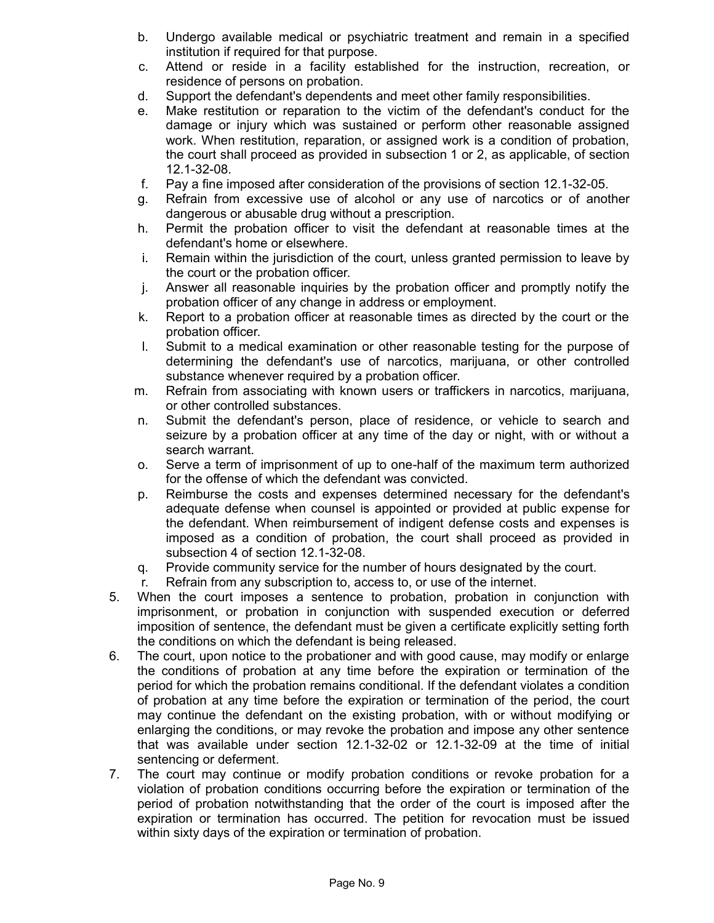- b. Undergo available medical or psychiatric treatment and remain in a specified institution if required for that purpose.
- c. Attend or reside in a facility established for the instruction, recreation, or residence of persons on probation.
- d. Support the defendant's dependents and meet other family responsibilities.
- e. Make restitution or reparation to the victim of the defendant's conduct for the damage or injury which was sustained or perform other reasonable assigned work. When restitution, reparation, or assigned work is a condition of probation, the court shall proceed as provided in subsection 1 or 2, as applicable, of section 12.1-32-08.
- f. Pay a fine imposed after consideration of the provisions of section 12.1-32-05.
- g. Refrain from excessive use of alcohol or any use of narcotics or of another dangerous or abusable drug without a prescription.
- h. Permit the probation officer to visit the defendant at reasonable times at the defendant's home or elsewhere.
- i. Remain within the jurisdiction of the court, unless granted permission to leave by the court or the probation officer.
- j. Answer all reasonable inquiries by the probation officer and promptly notify the probation officer of any change in address or employment.
- k. Report to a probation officer at reasonable times as directed by the court or the probation officer.
- l. Submit to a medical examination or other reasonable testing for the purpose of determining the defendant's use of narcotics, marijuana, or other controlled substance whenever required by a probation officer.
- m. Refrain from associating with known users or traffickers in narcotics, marijuana, or other controlled substances.
- n. Submit the defendant's person, place of residence, or vehicle to search and seizure by a probation officer at any time of the day or night, with or without a search warrant.
- o. Serve a term of imprisonment of up to one-half of the maximum term authorized for the offense of which the defendant was convicted.
- p. Reimburse the costs and expenses determined necessary for the defendant's adequate defense when counsel is appointed or provided at public expense for the defendant. When reimbursement of indigent defense costs and expenses is imposed as a condition of probation, the court shall proceed as provided in subsection 4 of section 12.1-32-08.
- q. Provide community service for the number of hours designated by the court.
- r. Refrain from any subscription to, access to, or use of the internet.
- 5. When the court imposes a sentence to probation, probation in conjunction with imprisonment, or probation in conjunction with suspended execution or deferred imposition of sentence, the defendant must be given a certificate explicitly setting forth the conditions on which the defendant is being released.
- 6. The court, upon notice to the probationer and with good cause, may modify or enlarge the conditions of probation at any time before the expiration or termination of the period for which the probation remains conditional. If the defendant violates a condition of probation at any time before the expiration or termination of the period, the court may continue the defendant on the existing probation, with or without modifying or enlarging the conditions, or may revoke the probation and impose any other sentence that was available under section 12.1-32-02 or 12.1-32-09 at the time of initial sentencing or deferment.
- 7. The court may continue or modify probation conditions or revoke probation for a violation of probation conditions occurring before the expiration or termination of the period of probation notwithstanding that the order of the court is imposed after the expiration or termination has occurred. The petition for revocation must be issued within sixty days of the expiration or termination of probation.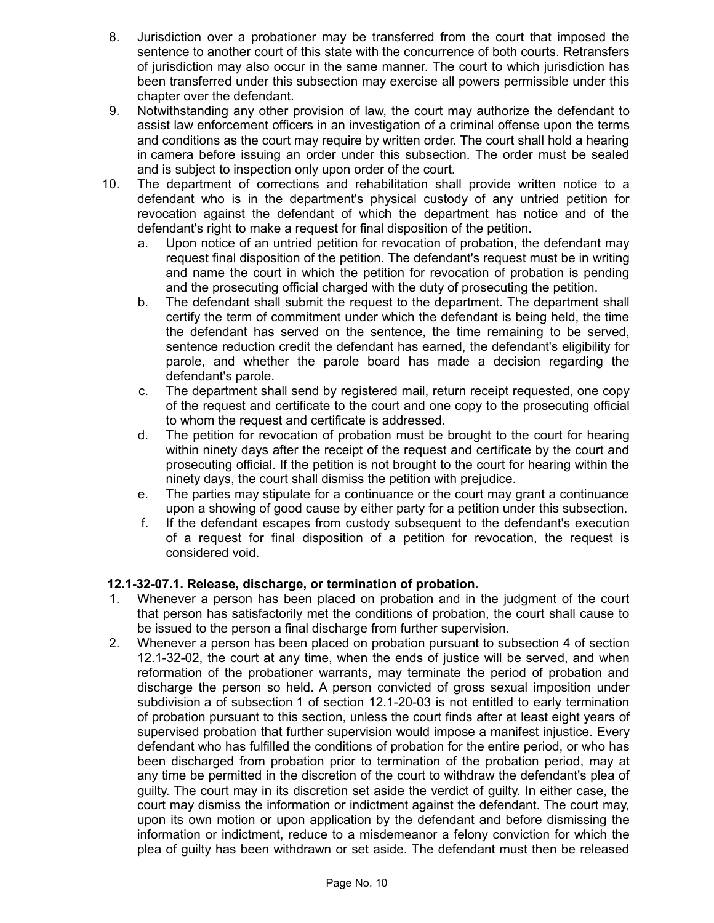- 8. Jurisdiction over a probationer may be transferred from the court that imposed the sentence to another court of this state with the concurrence of both courts. Retransfers of jurisdiction may also occur in the same manner. The court to which jurisdiction has been transferred under this subsection may exercise all powers permissible under this chapter over the defendant.
- 9. Notwithstanding any other provision of law, the court may authorize the defendant to assist law enforcement officers in an investigation of a criminal offense upon the terms and conditions as the court may require by written order. The court shall hold a hearing in camera before issuing an order under this subsection. The order must be sealed and is subject to inspection only upon order of the court.
- 10. The department of corrections and rehabilitation shall provide written notice to a defendant who is in the department's physical custody of any untried petition for revocation against the defendant of which the department has notice and of the defendant's right to make a request for final disposition of the petition.
	- a. Upon notice of an untried petition for revocation of probation, the defendant may request final disposition of the petition. The defendant's request must be in writing and name the court in which the petition for revocation of probation is pending and the prosecuting official charged with the duty of prosecuting the petition.
	- b. The defendant shall submit the request to the department. The department shall certify the term of commitment under which the defendant is being held, the time the defendant has served on the sentence, the time remaining to be served, sentence reduction credit the defendant has earned, the defendant's eligibility for parole, and whether the parole board has made a decision regarding the defendant's parole.
	- c. The department shall send by registered mail, return receipt requested, one copy of the request and certificate to the court and one copy to the prosecuting official to whom the request and certificate is addressed.
	- d. The petition for revocation of probation must be brought to the court for hearing within ninety days after the receipt of the request and certificate by the court and prosecuting official. If the petition is not brought to the court for hearing within the ninety days, the court shall dismiss the petition with prejudice.
	- e. The parties may stipulate for a continuance or the court may grant a continuance upon a showing of good cause by either party for a petition under this subsection.
	- f. If the defendant escapes from custody subsequent to the defendant's execution of a request for final disposition of a petition for revocation, the request is considered void.

# **12.1-32-07.1. Release, discharge, or termination of probation.**

- 1. Whenever a person has been placed on probation and in the judgment of the court that person has satisfactorily met the conditions of probation, the court shall cause to be issued to the person a final discharge from further supervision.
- 2. Whenever a person has been placed on probation pursuant to subsection 4 of section 12.1-32-02, the court at any time, when the ends of justice will be served, and when reformation of the probationer warrants, may terminate the period of probation and discharge the person so held. A person convicted of gross sexual imposition under subdivision a of subsection 1 of section 12.1-20-03 is not entitled to early termination of probation pursuant to this section, unless the court finds after at least eight years of supervised probation that further supervision would impose a manifest injustice. Every defendant who has fulfilled the conditions of probation for the entire period, or who has been discharged from probation prior to termination of the probation period, may at any time be permitted in the discretion of the court to withdraw the defendant's plea of guilty. The court may in its discretion set aside the verdict of guilty. In either case, the court may dismiss the information or indictment against the defendant. The court may, upon its own motion or upon application by the defendant and before dismissing the information or indictment, reduce to a misdemeanor a felony conviction for which the plea of guilty has been withdrawn or set aside. The defendant must then be released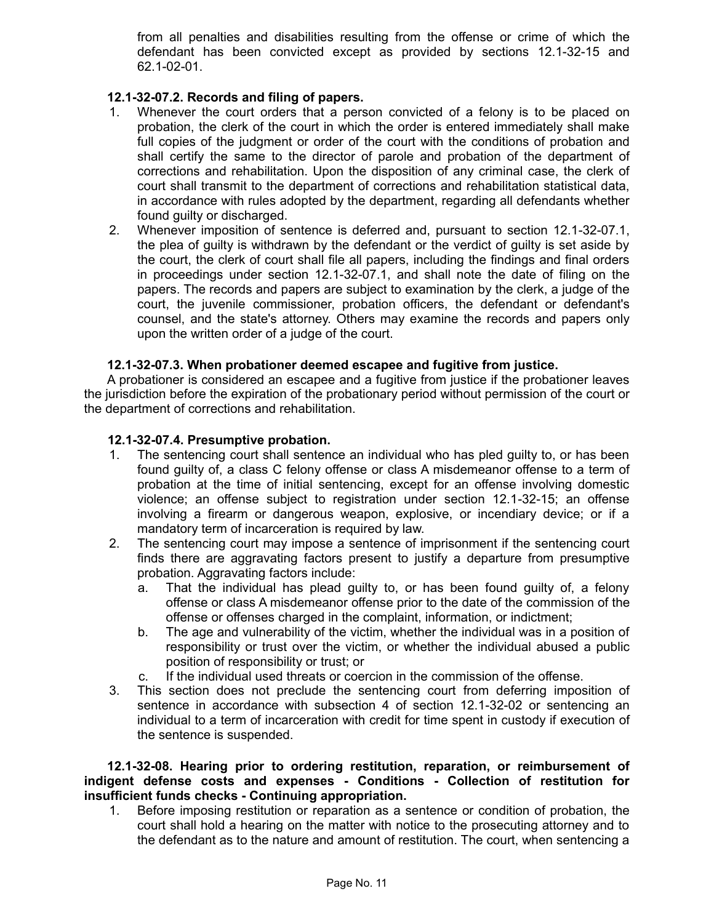from all penalties and disabilities resulting from the offense or crime of which the defendant has been convicted except as provided by sections 12.1-32-15 and 62.1-02-01.

## **12.1-32-07.2. Records and filing of papers.**

- 1. Whenever the court orders that a person convicted of a felony is to be placed on probation, the clerk of the court in which the order is entered immediately shall make full copies of the judgment or order of the court with the conditions of probation and shall certify the same to the director of parole and probation of the department of corrections and rehabilitation. Upon the disposition of any criminal case, the clerk of court shall transmit to the department of corrections and rehabilitation statistical data, in accordance with rules adopted by the department, regarding all defendants whether found guilty or discharged.
- 2. Whenever imposition of sentence is deferred and, pursuant to section 12.1-32-07.1, the plea of guilty is withdrawn by the defendant or the verdict of guilty is set aside by the court, the clerk of court shall file all papers, including the findings and final orders in proceedings under section 12.1-32-07.1, and shall note the date of filing on the papers. The records and papers are subject to examination by the clerk, a judge of the court, the juvenile commissioner, probation officers, the defendant or defendant's counsel, and the state's attorney. Others may examine the records and papers only upon the written order of a judge of the court.

#### **12.1-32-07.3. When probationer deemed escapee and fugitive from justice.**

A probationer is considered an escapee and a fugitive from justice if the probationer leaves the jurisdiction before the expiration of the probationary period without permission of the court or the department of corrections and rehabilitation.

#### **12.1-32-07.4. Presumptive probation.**

- 1. The sentencing court shall sentence an individual who has pled guilty to, or has been found guilty of, a class C felony offense or class A misdemeanor offense to a term of probation at the time of initial sentencing, except for an offense involving domestic violence; an offense subject to registration under section 12.1-32-15; an offense involving a firearm or dangerous weapon, explosive, or incendiary device; or if a mandatory term of incarceration is required by law.
- 2. The sentencing court may impose a sentence of imprisonment if the sentencing court finds there are aggravating factors present to justify a departure from presumptive probation. Aggravating factors include:
	- a. That the individual has plead guilty to, or has been found guilty of, a felony offense or class A misdemeanor offense prior to the date of the commission of the offense or offenses charged in the complaint, information, or indictment;
	- b. The age and vulnerability of the victim, whether the individual was in a position of responsibility or trust over the victim, or whether the individual abused a public position of responsibility or trust; or
	- c. If the individual used threats or coercion in the commission of the offense.
- 3. This section does not preclude the sentencing court from deferring imposition of sentence in accordance with subsection 4 of section 12.1-32-02 or sentencing an individual to a term of incarceration with credit for time spent in custody if execution of the sentence is suspended.

**12.1-32-08. Hearing prior to ordering restitution, reparation, or reimbursement of indigent defense costs and expenses - Conditions - Collection of restitution for insufficient funds checks - Continuing appropriation.**

1. Before imposing restitution or reparation as a sentence or condition of probation, the court shall hold a hearing on the matter with notice to the prosecuting attorney and to the defendant as to the nature and amount of restitution. The court, when sentencing a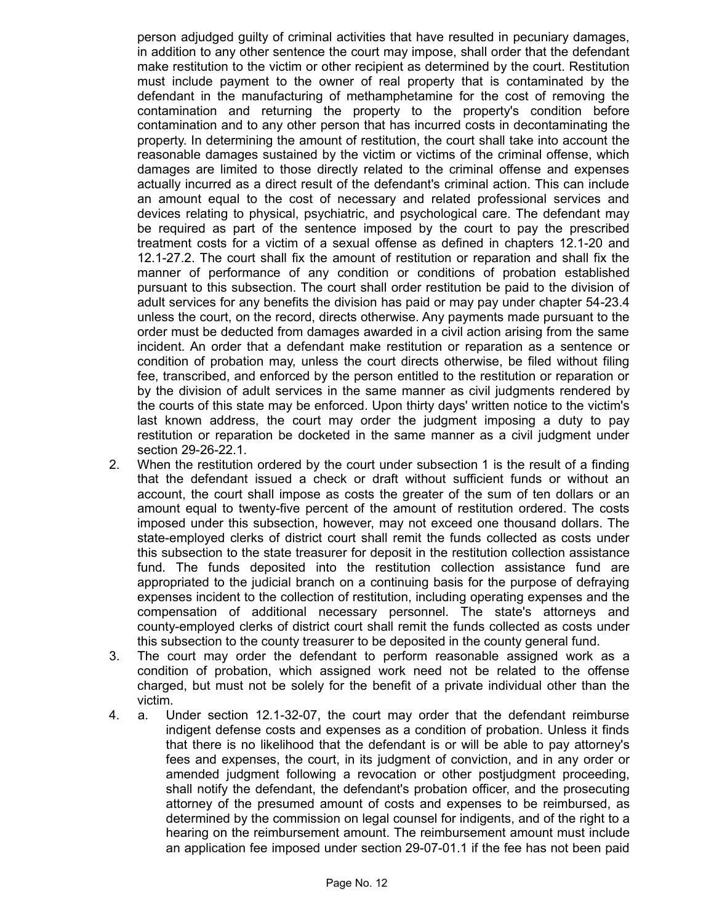person adjudged guilty of criminal activities that have resulted in pecuniary damages, in addition to any other sentence the court may impose, shall order that the defendant make restitution to the victim or other recipient as determined by the court. Restitution must include payment to the owner of real property that is contaminated by the defendant in the manufacturing of methamphetamine for the cost of removing the contamination and returning the property to the property's condition before contamination and to any other person that has incurred costs in decontaminating the property. In determining the amount of restitution, the court shall take into account the reasonable damages sustained by the victim or victims of the criminal offense, which damages are limited to those directly related to the criminal offense and expenses actually incurred as a direct result of the defendant's criminal action. This can include an amount equal to the cost of necessary and related professional services and devices relating to physical, psychiatric, and psychological care. The defendant may be required as part of the sentence imposed by the court to pay the prescribed treatment costs for a victim of a sexual offense as defined in chapters 12.1-20 and 12.1-27.2. The court shall fix the amount of restitution or reparation and shall fix the manner of performance of any condition or conditions of probation established pursuant to this subsection. The court shall order restitution be paid to the division of adult services for any benefits the division has paid or may pay under chapter 54-23.4 unless the court, on the record, directs otherwise. Any payments made pursuant to the order must be deducted from damages awarded in a civil action arising from the same incident. An order that a defendant make restitution or reparation as a sentence or condition of probation may, unless the court directs otherwise, be filed without filing fee, transcribed, and enforced by the person entitled to the restitution or reparation or by the division of adult services in the same manner as civil judgments rendered by the courts of this state may be enforced. Upon thirty days' written notice to the victim's last known address, the court may order the judgment imposing a duty to pay restitution or reparation be docketed in the same manner as a civil judgment under section 29-26-22.1.

- 2. When the restitution ordered by the court under subsection 1 is the result of a finding that the defendant issued a check or draft without sufficient funds or without an account, the court shall impose as costs the greater of the sum of ten dollars or an amount equal to twenty-five percent of the amount of restitution ordered. The costs imposed under this subsection, however, may not exceed one thousand dollars. The state-employed clerks of district court shall remit the funds collected as costs under this subsection to the state treasurer for deposit in the restitution collection assistance fund. The funds deposited into the restitution collection assistance fund are appropriated to the judicial branch on a continuing basis for the purpose of defraying expenses incident to the collection of restitution, including operating expenses and the compensation of additional necessary personnel. The state's attorneys and county-employed clerks of district court shall remit the funds collected as costs under this subsection to the county treasurer to be deposited in the county general fund.
- 3. The court may order the defendant to perform reasonable assigned work as a condition of probation, which assigned work need not be related to the offense charged, but must not be solely for the benefit of a private individual other than the victim.
- 4. a. Under section 12.1-32-07, the court may order that the defendant reimburse indigent defense costs and expenses as a condition of probation. Unless it finds that there is no likelihood that the defendant is or will be able to pay attorney's fees and expenses, the court, in its judgment of conviction, and in any order or amended judgment following a revocation or other postjudgment proceeding, shall notify the defendant, the defendant's probation officer, and the prosecuting attorney of the presumed amount of costs and expenses to be reimbursed, as determined by the commission on legal counsel for indigents, and of the right to a hearing on the reimbursement amount. The reimbursement amount must include an application fee imposed under section 29-07-01.1 if the fee has not been paid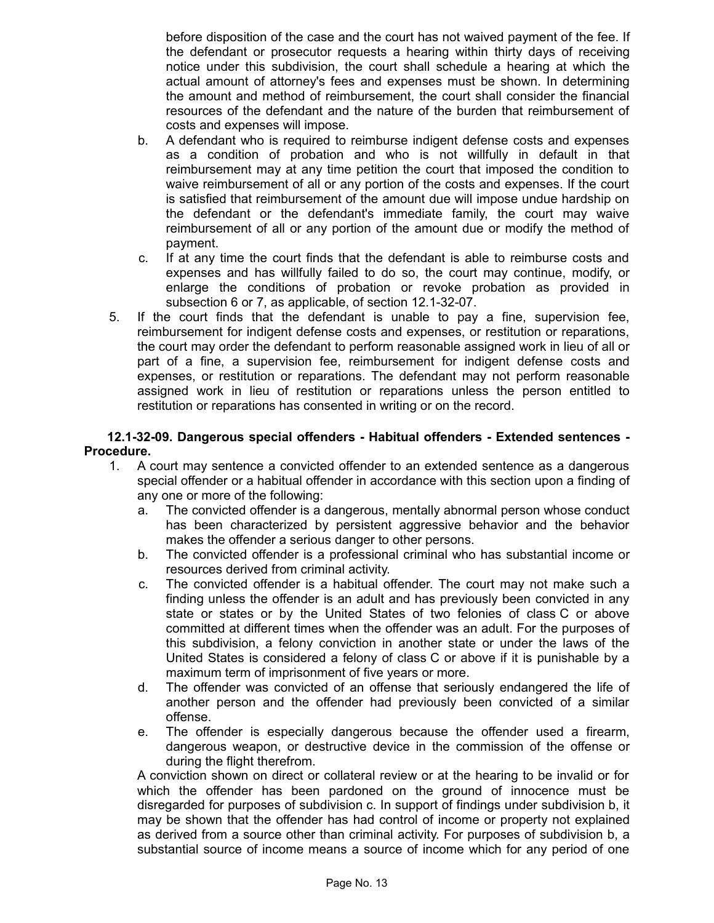before disposition of the case and the court has not waived payment of the fee. If the defendant or prosecutor requests a hearing within thirty days of receiving notice under this subdivision, the court shall schedule a hearing at which the actual amount of attorney's fees and expenses must be shown. In determining the amount and method of reimbursement, the court shall consider the financial resources of the defendant and the nature of the burden that reimbursement of costs and expenses will impose.

- b. A defendant who is required to reimburse indigent defense costs and expenses as a condition of probation and who is not willfully in default in that reimbursement may at any time petition the court that imposed the condition to waive reimbursement of all or any portion of the costs and expenses. If the court is satisfied that reimbursement of the amount due will impose undue hardship on the defendant or the defendant's immediate family, the court may waive reimbursement of all or any portion of the amount due or modify the method of payment.
- c. If at any time the court finds that the defendant is able to reimburse costs and expenses and has willfully failed to do so, the court may continue, modify, or enlarge the conditions of probation or revoke probation as provided in subsection 6 or 7, as applicable, of section 12.1-32-07.
- 5. If the court finds that the defendant is unable to pay a fine, supervision fee, reimbursement for indigent defense costs and expenses, or restitution or reparations, the court may order the defendant to perform reasonable assigned work in lieu of all or part of a fine, a supervision fee, reimbursement for indigent defense costs and expenses, or restitution or reparations. The defendant may not perform reasonable assigned work in lieu of restitution or reparations unless the person entitled to restitution or reparations has consented in writing or on the record.

#### **12.1-32-09. Dangerous special offenders - Habitual offenders - Extended sentences - Procedure.**

- 1. A court may sentence a convicted offender to an extended sentence as a dangerous special offender or a habitual offender in accordance with this section upon a finding of any one or more of the following:
	- a. The convicted offender is a dangerous, mentally abnormal person whose conduct has been characterized by persistent aggressive behavior and the behavior makes the offender a serious danger to other persons.
	- b. The convicted offender is a professional criminal who has substantial income or resources derived from criminal activity.
	- c. The convicted offender is a habitual offender. The court may not make such a finding unless the offender is an adult and has previously been convicted in any state or states or by the United States of two felonies of class C or above committed at different times when the offender was an adult. For the purposes of this subdivision, a felony conviction in another state or under the laws of the United States is considered a felony of class C or above if it is punishable by a maximum term of imprisonment of five years or more.
	- d. The offender was convicted of an offense that seriously endangered the life of another person and the offender had previously been convicted of a similar offense.
	- e. The offender is especially dangerous because the offender used a firearm, dangerous weapon, or destructive device in the commission of the offense or during the flight therefrom.

A conviction shown on direct or collateral review or at the hearing to be invalid or for which the offender has been pardoned on the ground of innocence must be disregarded for purposes of subdivision c. In support of findings under subdivision b, it may be shown that the offender has had control of income or property not explained as derived from a source other than criminal activity. For purposes of subdivision b, a substantial source of income means a source of income which for any period of one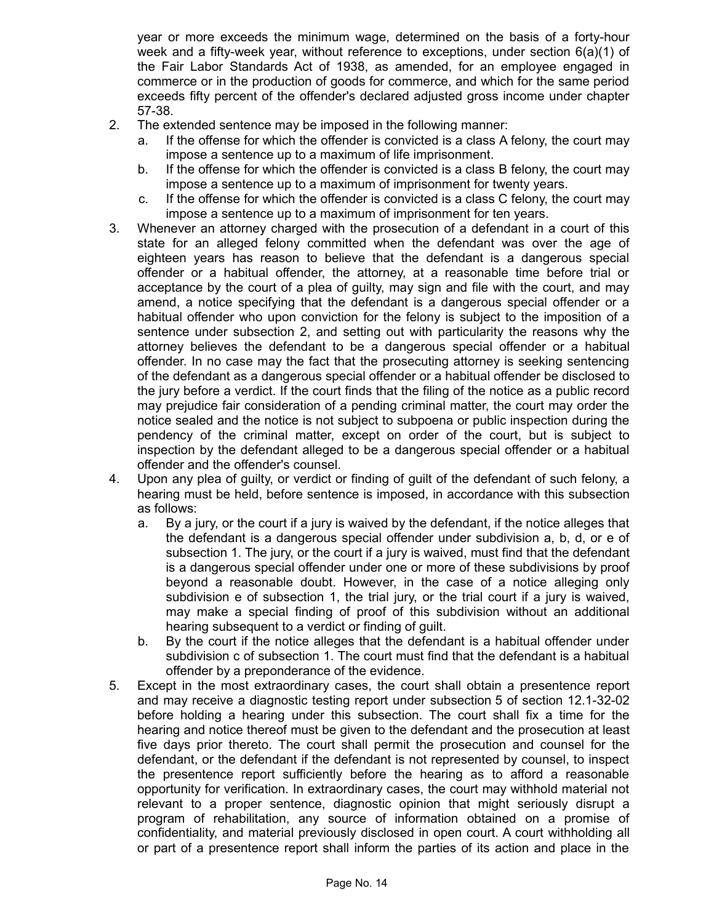year or more exceeds the minimum wage, determined on the basis of a forty-hour week and a fifty-week year, without reference to exceptions, under section 6(a)(1) of the Fair Labor Standards Act of 1938, as amended, for an employee engaged in commerce or in the production of goods for commerce, and which for the same period exceeds fifty percent of the offender's declared adjusted gross income under chapter 57-38.

- 2. The extended sentence may be imposed in the following manner:
	- a. If the offense for which the offender is convicted is a class A felony, the court may impose a sentence up to a maximum of life imprisonment.
	- b. If the offense for which the offender is convicted is a class B felony, the court may impose a sentence up to a maximum of imprisonment for twenty years.
	- c. If the offense for which the offender is convicted is a class C felony, the court may impose a sentence up to a maximum of imprisonment for ten years.
- 3. Whenever an attorney charged with the prosecution of a defendant in a court of this state for an alleged felony committed when the defendant was over the age of eighteen years has reason to believe that the defendant is a dangerous special offender or a habitual offender, the attorney, at a reasonable time before trial or acceptance by the court of a plea of guilty, may sign and file with the court, and may amend, a notice specifying that the defendant is a dangerous special offender or a habitual offender who upon conviction for the felony is subject to the imposition of a sentence under subsection 2, and setting out with particularity the reasons why the attorney believes the defendant to be a dangerous special offender or a habitual offender. In no case may the fact that the prosecuting attorney is seeking sentencing of the defendant as a dangerous special offender or a habitual offender be disclosed to the jury before a verdict. If the court finds that the filing of the notice as a public record may prejudice fair consideration of a pending criminal matter, the court may order the notice sealed and the notice is not subject to subpoena or public inspection during the pendency of the criminal matter, except on order of the court, but is subject to inspection by the defendant alleged to be a dangerous special offender or a habitual offender and the offender's counsel.
- 4. Upon any plea of guilty, or verdict or finding of guilt of the defendant of such felony, a hearing must be held, before sentence is imposed, in accordance with this subsection as follows:
	- a. By a jury, or the court if a jury is waived by the defendant, if the notice alleges that the defendant is a dangerous special offender under subdivision a, b, d, or e of subsection 1. The jury, or the court if a jury is waived, must find that the defendant is a dangerous special offender under one or more of these subdivisions by proof beyond a reasonable doubt. However, in the case of a notice alleging only subdivision e of subsection 1, the trial jury, or the trial court if a jury is waived, may make a special finding of proof of this subdivision without an additional hearing subsequent to a verdict or finding of guilt.
	- b. By the court if the notice alleges that the defendant is a habitual offender under subdivision c of subsection 1. The court must find that the defendant is a habitual offender by a preponderance of the evidence.
- 5. Except in the most extraordinary cases, the court shall obtain a presentence report and may receive a diagnostic testing report under subsection 5 of section 12.1-32-02 before holding a hearing under this subsection. The court shall fix a time for the hearing and notice thereof must be given to the defendant and the prosecution at least five days prior thereto. The court shall permit the prosecution and counsel for the defendant, or the defendant if the defendant is not represented by counsel, to inspect the presentence report sufficiently before the hearing as to afford a reasonable opportunity for verification. In extraordinary cases, the court may withhold material not relevant to a proper sentence, diagnostic opinion that might seriously disrupt a program of rehabilitation, any source of information obtained on a promise of confidentiality, and material previously disclosed in open court. A court withholding all or part of a presentence report shall inform the parties of its action and place in the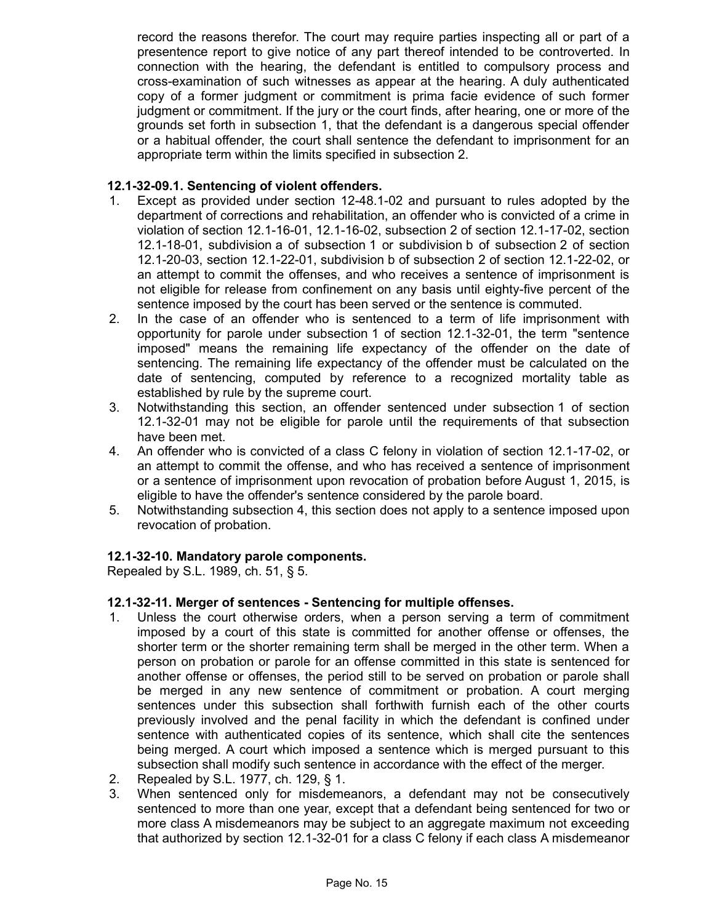record the reasons therefor. The court may require parties inspecting all or part of a presentence report to give notice of any part thereof intended to be controverted. In connection with the hearing, the defendant is entitled to compulsory process and cross-examination of such witnesses as appear at the hearing. A duly authenticated copy of a former judgment or commitment is prima facie evidence of such former judgment or commitment. If the jury or the court finds, after hearing, one or more of the grounds set forth in subsection 1, that the defendant is a dangerous special offender or a habitual offender, the court shall sentence the defendant to imprisonment for an appropriate term within the limits specified in subsection 2.

# **12.1-32-09.1. Sentencing of violent offenders.**

- 1. Except as provided under section 12-48.1-02 and pursuant to rules adopted by the department of corrections and rehabilitation, an offender who is convicted of a crime in violation of section 12.1-16-01, 12.1-16-02, subsection 2 of section 12.1-17-02, section 12.1-18-01, subdivision a of subsection 1 or subdivision b of subsection 2 of section 12.1-20-03, section 12.1-22-01, subdivision b of subsection 2 of section 12.1-22-02, or an attempt to commit the offenses, and who receives a sentence of imprisonment is not eligible for release from confinement on any basis until eighty-five percent of the sentence imposed by the court has been served or the sentence is commuted.
- 2. In the case of an offender who is sentenced to a term of life imprisonment with opportunity for parole under subsection 1 of section 12.1-32-01, the term "sentence imposed" means the remaining life expectancy of the offender on the date of sentencing. The remaining life expectancy of the offender must be calculated on the date of sentencing, computed by reference to a recognized mortality table as established by rule by the supreme court.
- 3. Notwithstanding this section, an offender sentenced under subsection 1 of section 12.1-32-01 may not be eligible for parole until the requirements of that subsection have been met.
- 4. An offender who is convicted of a class C felony in violation of section 12.1-17-02, or an attempt to commit the offense, and who has received a sentence of imprisonment or a sentence of imprisonment upon revocation of probation before August 1, 2015, is eligible to have the offender's sentence considered by the parole board.
- 5. Notwithstanding subsection 4, this section does not apply to a sentence imposed upon revocation of probation.

## **12.1-32-10. Mandatory parole components.**

Repealed by S.L. 1989, ch. 51, § 5.

## **12.1-32-11. Merger of sentences - Sentencing for multiple offenses.**

- 1. Unless the court otherwise orders, when a person serving a term of commitment imposed by a court of this state is committed for another offense or offenses, the shorter term or the shorter remaining term shall be merged in the other term. When a person on probation or parole for an offense committed in this state is sentenced for another offense or offenses, the period still to be served on probation or parole shall be merged in any new sentence of commitment or probation. A court merging sentences under this subsection shall forthwith furnish each of the other courts previously involved and the penal facility in which the defendant is confined under sentence with authenticated copies of its sentence, which shall cite the sentences being merged. A court which imposed a sentence which is merged pursuant to this subsection shall modify such sentence in accordance with the effect of the merger.
- 2. Repealed by S.L. 1977, ch. 129, § 1.
- 3. When sentenced only for misdemeanors, a defendant may not be consecutively sentenced to more than one year, except that a defendant being sentenced for two or more class A misdemeanors may be subject to an aggregate maximum not exceeding that authorized by section 12.1-32-01 for a class C felony if each class A misdemeanor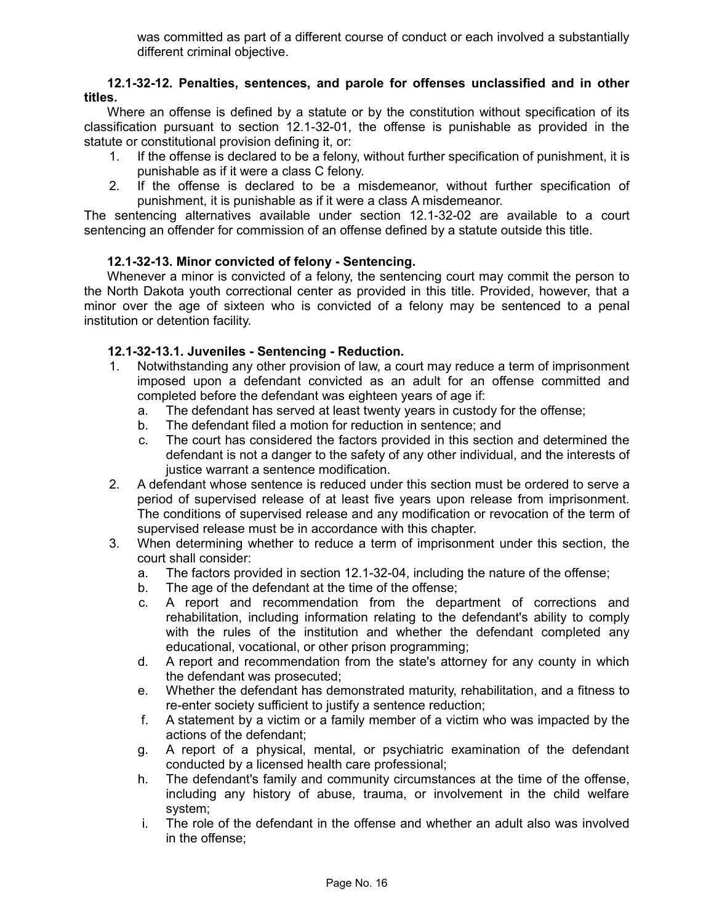was committed as part of a different course of conduct or each involved a substantially different criminal objective.

#### **12.1-32-12. Penalties, sentences, and parole for offenses unclassified and in other titles.**

Where an offense is defined by a statute or by the constitution without specification of its classification pursuant to section 12.1-32-01, the offense is punishable as provided in the statute or constitutional provision defining it, or:

- 1. If the offense is declared to be a felony, without further specification of punishment, it is punishable as if it were a class C felony.
- 2. If the offense is declared to be a misdemeanor, without further specification of punishment, it is punishable as if it were a class A misdemeanor.

The sentencing alternatives available under section 12.1-32-02 are available to a court sentencing an offender for commission of an offense defined by a statute outside this title.

## **12.1-32-13. Minor convicted of felony - Sentencing.**

Whenever a minor is convicted of a felony, the sentencing court may commit the person to the North Dakota youth correctional center as provided in this title. Provided, however, that a minor over the age of sixteen who is convicted of a felony may be sentenced to a penal institution or detention facility.

# **12.1-32-13.1. Juveniles - Sentencing - Reduction.**

- 1. Notwithstanding any other provision of law, a court may reduce a term of imprisonment imposed upon a defendant convicted as an adult for an offense committed and completed before the defendant was eighteen years of age if:
	- a. The defendant has served at least twenty years in custody for the offense;
	- b. The defendant filed a motion for reduction in sentence; and
	- c. The court has considered the factors provided in this section and determined the defendant is not a danger to the safety of any other individual, and the interests of justice warrant a sentence modification.
- 2. A defendant whose sentence is reduced under this section must be ordered to serve a period of supervised release of at least five years upon release from imprisonment. The conditions of supervised release and any modification or revocation of the term of supervised release must be in accordance with this chapter.
- 3. When determining whether to reduce a term of imprisonment under this section, the court shall consider:
	- a. The factors provided in section 12.1-32-04, including the nature of the offense;
	- b. The age of the defendant at the time of the offense;
	- c. A report and recommendation from the department of corrections and rehabilitation, including information relating to the defendant's ability to comply with the rules of the institution and whether the defendant completed any educational, vocational, or other prison programming;
	- d. A report and recommendation from the state's attorney for any county in which the defendant was prosecuted;
	- e. Whether the defendant has demonstrated maturity, rehabilitation, and a fitness to re-enter society sufficient to justify a sentence reduction;
	- f. A statement by a victim or a family member of a victim who was impacted by the actions of the defendant;
	- g. A report of a physical, mental, or psychiatric examination of the defendant conducted by a licensed health care professional;
	- h. The defendant's family and community circumstances at the time of the offense, including any history of abuse, trauma, or involvement in the child welfare system;
	- i. The role of the defendant in the offense and whether an adult also was involved in the offense;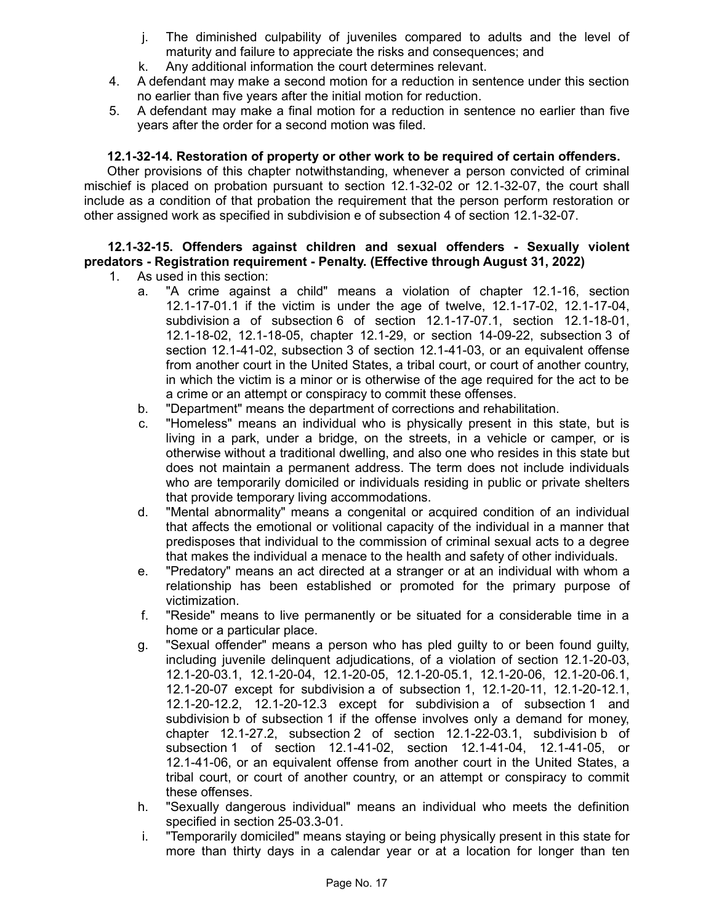- j. The diminished culpability of juveniles compared to adults and the level of maturity and failure to appreciate the risks and consequences; and
- k. Any additional information the court determines relevant.
- 4. A defendant may make a second motion for a reduction in sentence under this section no earlier than five years after the initial motion for reduction.
- 5. A defendant may make a final motion for a reduction in sentence no earlier than five years after the order for a second motion was filed.

# **12.1-32-14. Restoration of property or other work to be required of certain offenders.**

Other provisions of this chapter notwithstanding, whenever a person convicted of criminal mischief is placed on probation pursuant to section 12.1-32-02 or 12.1-32-07, the court shall include as a condition of that probation the requirement that the person perform restoration or other assigned work as specified in subdivision e of subsection 4 of section 12.1-32-07.

# **12.1-32-15. Offenders against children and sexual offenders - Sexually violent predators - Registration requirement - Penalty. (Effective through August 31, 2022)**

- 1. As used in this section:
	- a. "A crime against a child" means a violation of chapter 12.1-16, section 12.1-17-01.1 if the victim is under the age of twelve, 12.1-17-02, 12.1-17-04, subdivision a of subsection 6 of section 12.1-17-07.1, section 12.1-18-01, 12.1-18-02, 12.1-18-05, chapter 12.1-29, or section 14-09-22, subsection 3 of section 12.1-41-02, subsection 3 of section 12.1-41-03, or an equivalent offense from another court in the United States, a tribal court, or court of another country, in which the victim is a minor or is otherwise of the age required for the act to be a crime or an attempt or conspiracy to commit these offenses.
	- b. "Department" means the department of corrections and rehabilitation.
	- c. "Homeless" means an individual who is physically present in this state, but is living in a park, under a bridge, on the streets, in a vehicle or camper, or is otherwise without a traditional dwelling, and also one who resides in this state but does not maintain a permanent address. The term does not include individuals who are temporarily domiciled or individuals residing in public or private shelters that provide temporary living accommodations.
	- d. "Mental abnormality" means a congenital or acquired condition of an individual that affects the emotional or volitional capacity of the individual in a manner that predisposes that individual to the commission of criminal sexual acts to a degree that makes the individual a menace to the health and safety of other individuals.
	- e. "Predatory" means an act directed at a stranger or at an individual with whom a relationship has been established or promoted for the primary purpose of victimization.
	- f. "Reside" means to live permanently or be situated for a considerable time in a home or a particular place.
	- g. "Sexual offender" means a person who has pled guilty to or been found guilty, including juvenile delinquent adjudications, of a violation of section 12.1-20-03, 12.1-20-03.1, 12.1-20-04, 12.1-20-05, 12.1-20-05.1, 12.1-20-06, 12.1-20-06.1, 12.1-20-07 except for subdivision a of subsection 1, 12.1-20-11, 12.1-20-12.1, 12.1-20-12.2, 12.1-20-12.3 except for subdivision a of subsection 1 and subdivision b of subsection 1 if the offense involves only a demand for money, chapter 12.1-27.2, subsection 2 of section 12.1-22-03.1, subdivision b of subsection 1 of section 12.1-41-02, section 12.1-41-04, 12.1-41-05, or 12.1-41-06, or an equivalent offense from another court in the United States, a tribal court, or court of another country, or an attempt or conspiracy to commit these offenses.
	- h. "Sexually dangerous individual" means an individual who meets the definition specified in section 25-03.3-01.
	- i. "Temporarily domiciled" means staying or being physically present in this state for more than thirty days in a calendar year or at a location for longer than ten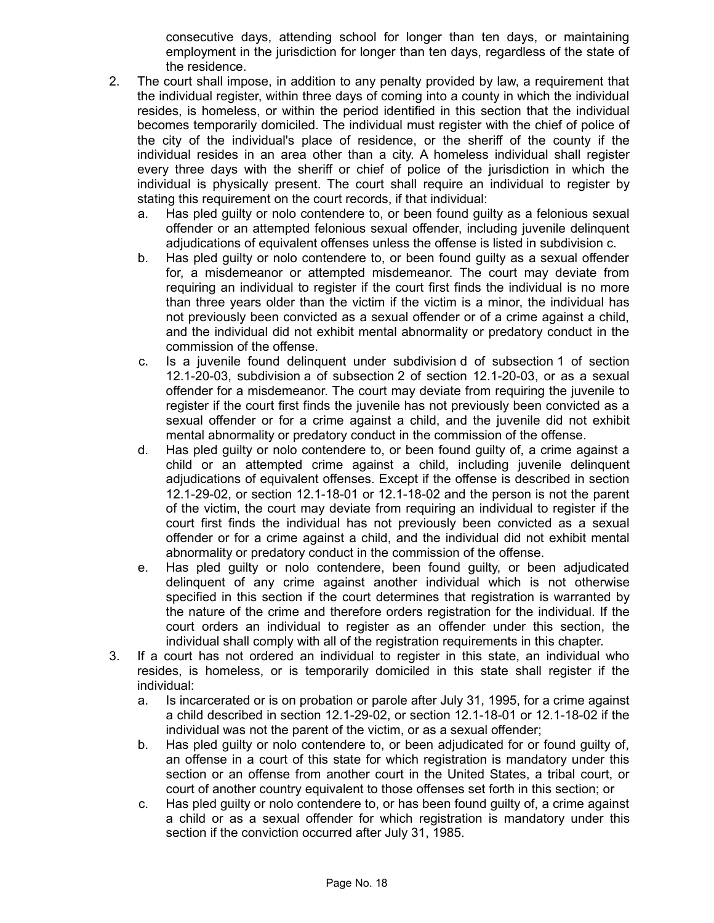consecutive days, attending school for longer than ten days, or maintaining employment in the jurisdiction for longer than ten days, regardless of the state of the residence.

- 2. The court shall impose, in addition to any penalty provided by law, a requirement that the individual register, within three days of coming into a county in which the individual resides, is homeless, or within the period identified in this section that the individual becomes temporarily domiciled. The individual must register with the chief of police of the city of the individual's place of residence, or the sheriff of the county if the individual resides in an area other than a city. A homeless individual shall register every three days with the sheriff or chief of police of the jurisdiction in which the individual is physically present. The court shall require an individual to register by stating this requirement on the court records, if that individual:
	- a. Has pled guilty or nolo contendere to, or been found guilty as a felonious sexual offender or an attempted felonious sexual offender, including juvenile delinquent adjudications of equivalent offenses unless the offense is listed in subdivision c.
	- b. Has pled guilty or nolo contendere to, or been found guilty as a sexual offender for, a misdemeanor or attempted misdemeanor. The court may deviate from requiring an individual to register if the court first finds the individual is no more than three years older than the victim if the victim is a minor, the individual has not previously been convicted as a sexual offender or of a crime against a child, and the individual did not exhibit mental abnormality or predatory conduct in the commission of the offense.
	- c. Is a juvenile found delinquent under subdivision d of subsection 1 of section 12.1-20-03, subdivision a of subsection 2 of section 12.1-20-03, or as a sexual offender for a misdemeanor. The court may deviate from requiring the juvenile to register if the court first finds the juvenile has not previously been convicted as a sexual offender or for a crime against a child, and the juvenile did not exhibit mental abnormality or predatory conduct in the commission of the offense.
	- d. Has pled guilty or nolo contendere to, or been found guilty of, a crime against a child or an attempted crime against a child, including juvenile delinquent adjudications of equivalent offenses. Except if the offense is described in section 12.1-29-02, or section 12.1-18-01 or 12.1-18-02 and the person is not the parent of the victim, the court may deviate from requiring an individual to register if the court first finds the individual has not previously been convicted as a sexual offender or for a crime against a child, and the individual did not exhibit mental abnormality or predatory conduct in the commission of the offense.
	- e. Has pled guilty or nolo contendere, been found guilty, or been adjudicated delinquent of any crime against another individual which is not otherwise specified in this section if the court determines that registration is warranted by the nature of the crime and therefore orders registration for the individual. If the court orders an individual to register as an offender under this section, the individual shall comply with all of the registration requirements in this chapter.
- 3. If a court has not ordered an individual to register in this state, an individual who resides, is homeless, or is temporarily domiciled in this state shall register if the individual:
	- a. Is incarcerated or is on probation or parole after July 31, 1995, for a crime against a child described in section 12.1-29-02, or section 12.1-18-01 or 12.1-18-02 if the individual was not the parent of the victim, or as a sexual offender;
	- b. Has pled guilty or nolo contendere to, or been adjudicated for or found guilty of, an offense in a court of this state for which registration is mandatory under this section or an offense from another court in the United States, a tribal court, or court of another country equivalent to those offenses set forth in this section; or
	- c. Has pled guilty or nolo contendere to, or has been found guilty of, a crime against a child or as a sexual offender for which registration is mandatory under this section if the conviction occurred after July 31, 1985.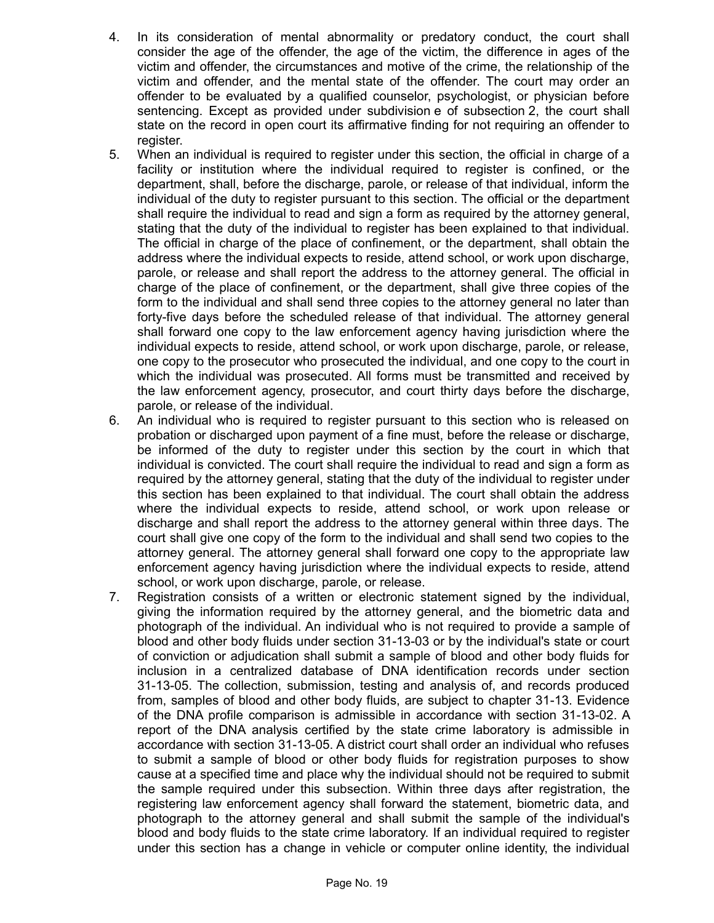- 4. In its consideration of mental abnormality or predatory conduct, the court shall consider the age of the offender, the age of the victim, the difference in ages of the victim and offender, the circumstances and motive of the crime, the relationship of the victim and offender, and the mental state of the offender. The court may order an offender to be evaluated by a qualified counselor, psychologist, or physician before sentencing. Except as provided under subdivision e of subsection 2, the court shall state on the record in open court its affirmative finding for not requiring an offender to register.
- 5. When an individual is required to register under this section, the official in charge of a facility or institution where the individual required to register is confined, or the department, shall, before the discharge, parole, or release of that individual, inform the individual of the duty to register pursuant to this section. The official or the department shall require the individual to read and sign a form as required by the attorney general, stating that the duty of the individual to register has been explained to that individual. The official in charge of the place of confinement, or the department, shall obtain the address where the individual expects to reside, attend school, or work upon discharge, parole, or release and shall report the address to the attorney general. The official in charge of the place of confinement, or the department, shall give three copies of the form to the individual and shall send three copies to the attorney general no later than forty-five days before the scheduled release of that individual. The attorney general shall forward one copy to the law enforcement agency having jurisdiction where the individual expects to reside, attend school, or work upon discharge, parole, or release, one copy to the prosecutor who prosecuted the individual, and one copy to the court in which the individual was prosecuted. All forms must be transmitted and received by the law enforcement agency, prosecutor, and court thirty days before the discharge, parole, or release of the individual.
- 6. An individual who is required to register pursuant to this section who is released on probation or discharged upon payment of a fine must, before the release or discharge, be informed of the duty to register under this section by the court in which that individual is convicted. The court shall require the individual to read and sign a form as required by the attorney general, stating that the duty of the individual to register under this section has been explained to that individual. The court shall obtain the address where the individual expects to reside, attend school, or work upon release or discharge and shall report the address to the attorney general within three days. The court shall give one copy of the form to the individual and shall send two copies to the attorney general. The attorney general shall forward one copy to the appropriate law enforcement agency having jurisdiction where the individual expects to reside, attend school, or work upon discharge, parole, or release.
- 7. Registration consists of a written or electronic statement signed by the individual, giving the information required by the attorney general, and the biometric data and photograph of the individual. An individual who is not required to provide a sample of blood and other body fluids under section 31-13-03 or by the individual's state or court of conviction or adjudication shall submit a sample of blood and other body fluids for inclusion in a centralized database of DNA identification records under section 31-13-05. The collection, submission, testing and analysis of, and records produced from, samples of blood and other body fluids, are subject to chapter 31-13. Evidence of the DNA profile comparison is admissible in accordance with section 31-13-02. A report of the DNA analysis certified by the state crime laboratory is admissible in accordance with section 31-13-05. A district court shall order an individual who refuses to submit a sample of blood or other body fluids for registration purposes to show cause at a specified time and place why the individual should not be required to submit the sample required under this subsection. Within three days after registration, the registering law enforcement agency shall forward the statement, biometric data, and photograph to the attorney general and shall submit the sample of the individual's blood and body fluids to the state crime laboratory. If an individual required to register under this section has a change in vehicle or computer online identity, the individual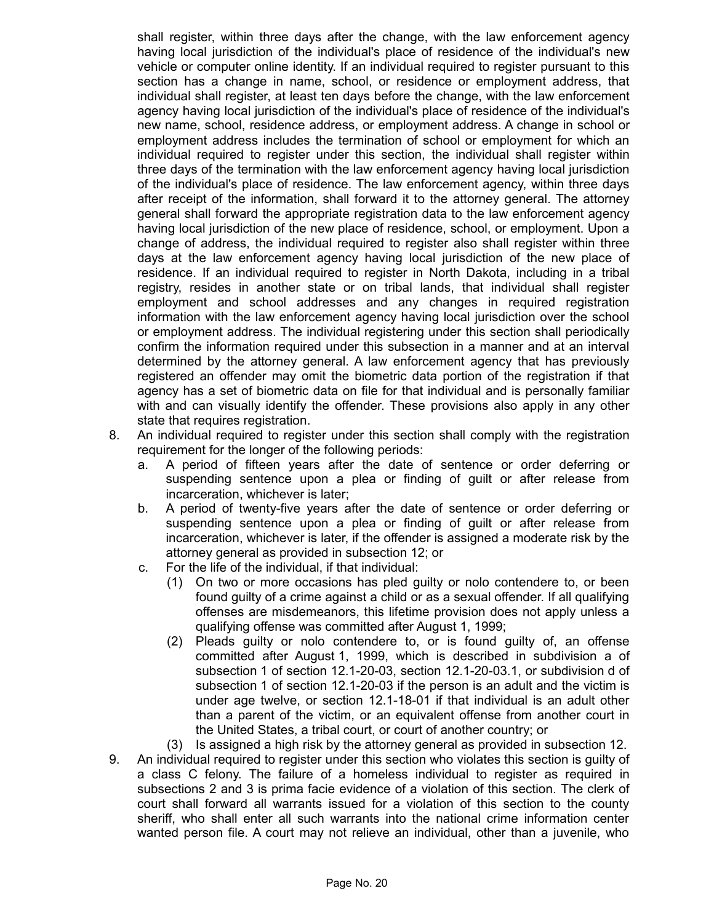shall register, within three days after the change, with the law enforcement agency having local jurisdiction of the individual's place of residence of the individual's new vehicle or computer online identity. If an individual required to register pursuant to this section has a change in name, school, or residence or employment address, that individual shall register, at least ten days before the change, with the law enforcement agency having local jurisdiction of the individual's place of residence of the individual's new name, school, residence address, or employment address. A change in school or employment address includes the termination of school or employment for which an individual required to register under this section, the individual shall register within three days of the termination with the law enforcement agency having local jurisdiction of the individual's place of residence. The law enforcement agency, within three days after receipt of the information, shall forward it to the attorney general. The attorney general shall forward the appropriate registration data to the law enforcement agency having local jurisdiction of the new place of residence, school, or employment. Upon a change of address, the individual required to register also shall register within three days at the law enforcement agency having local jurisdiction of the new place of residence. If an individual required to register in North Dakota, including in a tribal registry, resides in another state or on tribal lands, that individual shall register employment and school addresses and any changes in required registration information with the law enforcement agency having local jurisdiction over the school or employment address. The individual registering under this section shall periodically confirm the information required under this subsection in a manner and at an interval determined by the attorney general. A law enforcement agency that has previously registered an offender may omit the biometric data portion of the registration if that agency has a set of biometric data on file for that individual and is personally familiar with and can visually identify the offender. These provisions also apply in any other state that requires registration.

- 8. An individual required to register under this section shall comply with the registration requirement for the longer of the following periods:
	- a. A period of fifteen years after the date of sentence or order deferring or suspending sentence upon a plea or finding of guilt or after release from incarceration, whichever is later;
	- b. A period of twenty-five years after the date of sentence or order deferring or suspending sentence upon a plea or finding of guilt or after release from incarceration, whichever is later, if the offender is assigned a moderate risk by the attorney general as provided in subsection 12; or
	- c. For the life of the individual, if that individual:
		- (1) On two or more occasions has pled guilty or nolo contendere to, or been found guilty of a crime against a child or as a sexual offender. If all qualifying offenses are misdemeanors, this lifetime provision does not apply unless a qualifying offense was committed after August 1, 1999;
		- (2) Pleads guilty or nolo contendere to, or is found guilty of, an offense committed after August 1, 1999, which is described in subdivision a of subsection 1 of section 12.1-20-03, section 12.1-20-03.1, or subdivision d of subsection 1 of section 12.1-20-03 if the person is an adult and the victim is under age twelve, or section 12.1-18-01 if that individual is an adult other than a parent of the victim, or an equivalent offense from another court in the United States, a tribal court, or court of another country; or
		- (3) Is assigned a high risk by the attorney general as provided in subsection 12.
- 9. An individual required to register under this section who violates this section is guilty of a class C felony. The failure of a homeless individual to register as required in subsections 2 and 3 is prima facie evidence of a violation of this section. The clerk of court shall forward all warrants issued for a violation of this section to the county sheriff, who shall enter all such warrants into the national crime information center wanted person file. A court may not relieve an individual, other than a juvenile, who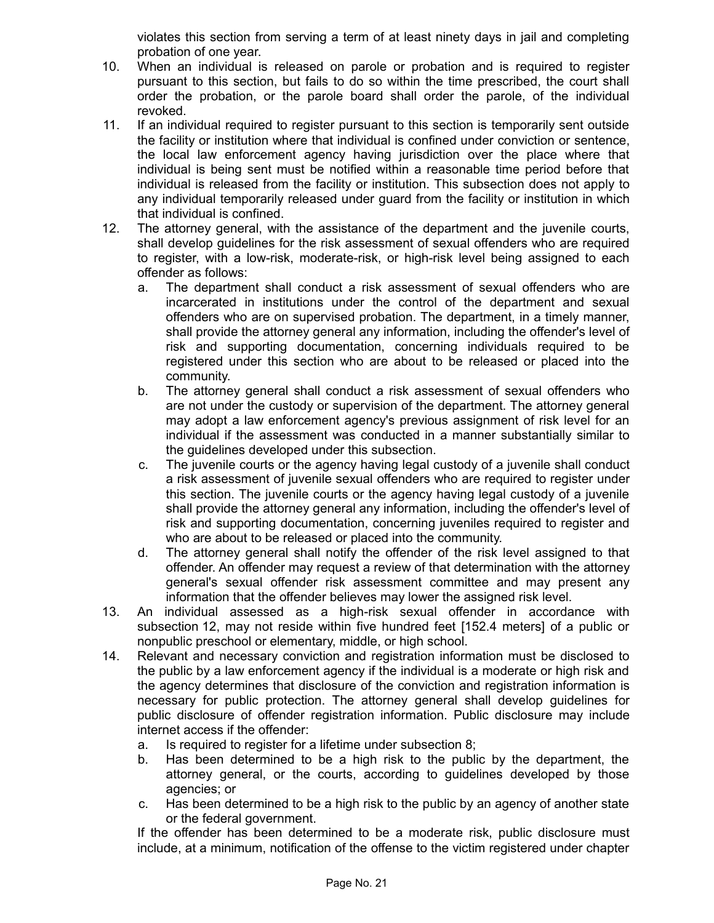violates this section from serving a term of at least ninety days in jail and completing probation of one year.

- 10. When an individual is released on parole or probation and is required to register pursuant to this section, but fails to do so within the time prescribed, the court shall order the probation, or the parole board shall order the parole, of the individual revoked.
- 11. If an individual required to register pursuant to this section is temporarily sent outside the facility or institution where that individual is confined under conviction or sentence, the local law enforcement agency having jurisdiction over the place where that individual is being sent must be notified within a reasonable time period before that individual is released from the facility or institution. This subsection does not apply to any individual temporarily released under guard from the facility or institution in which that individual is confined.
- 12. The attorney general, with the assistance of the department and the juvenile courts, shall develop guidelines for the risk assessment of sexual offenders who are required to register, with a low-risk, moderate-risk, or high-risk level being assigned to each offender as follows:
	- a. The department shall conduct a risk assessment of sexual offenders who are incarcerated in institutions under the control of the department and sexual offenders who are on supervised probation. The department, in a timely manner, shall provide the attorney general any information, including the offender's level of risk and supporting documentation, concerning individuals required to be registered under this section who are about to be released or placed into the community.
	- b. The attorney general shall conduct a risk assessment of sexual offenders who are not under the custody or supervision of the department. The attorney general may adopt a law enforcement agency's previous assignment of risk level for an individual if the assessment was conducted in a manner substantially similar to the guidelines developed under this subsection.
	- c. The juvenile courts or the agency having legal custody of a juvenile shall conduct a risk assessment of juvenile sexual offenders who are required to register under this section. The juvenile courts or the agency having legal custody of a juvenile shall provide the attorney general any information, including the offender's level of risk and supporting documentation, concerning juveniles required to register and who are about to be released or placed into the community.
	- d. The attorney general shall notify the offender of the risk level assigned to that offender. An offender may request a review of that determination with the attorney general's sexual offender risk assessment committee and may present any information that the offender believes may lower the assigned risk level.
- 13. An individual assessed as a high-risk sexual offender in accordance with subsection 12, may not reside within five hundred feet [152.4 meters] of a public or nonpublic preschool or elementary, middle, or high school.
- 14. Relevant and necessary conviction and registration information must be disclosed to the public by a law enforcement agency if the individual is a moderate or high risk and the agency determines that disclosure of the conviction and registration information is necessary for public protection. The attorney general shall develop guidelines for public disclosure of offender registration information. Public disclosure may include internet access if the offender:
	- a. Is required to register for a lifetime under subsection 8;
	- b. Has been determined to be a high risk to the public by the department, the attorney general, or the courts, according to guidelines developed by those agencies; or
	- c. Has been determined to be a high risk to the public by an agency of another state or the federal government.

If the offender has been determined to be a moderate risk, public disclosure must include, at a minimum, notification of the offense to the victim registered under chapter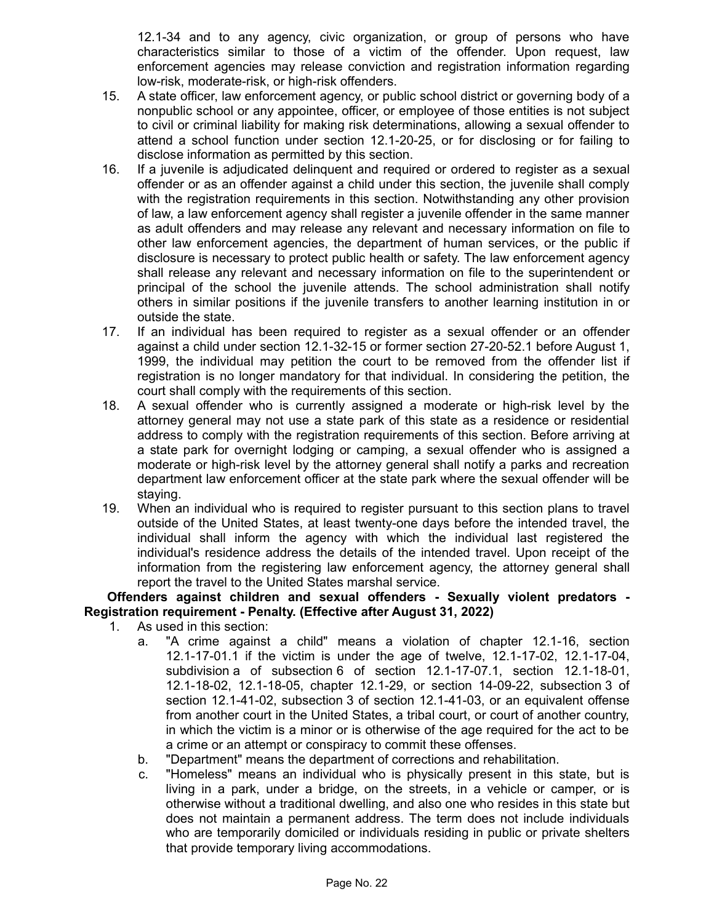12.1-34 and to any agency, civic organization, or group of persons who have characteristics similar to those of a victim of the offender. Upon request, law enforcement agencies may release conviction and registration information regarding low-risk, moderate-risk, or high-risk offenders.

- 15. A state officer, law enforcement agency, or public school district or governing body of a nonpublic school or any appointee, officer, or employee of those entities is not subject to civil or criminal liability for making risk determinations, allowing a sexual offender to attend a school function under section 12.1-20-25, or for disclosing or for failing to disclose information as permitted by this section.
- 16. If a juvenile is adjudicated delinquent and required or ordered to register as a sexual offender or as an offender against a child under this section, the juvenile shall comply with the registration requirements in this section. Notwithstanding any other provision of law, a law enforcement agency shall register a juvenile offender in the same manner as adult offenders and may release any relevant and necessary information on file to other law enforcement agencies, the department of human services, or the public if disclosure is necessary to protect public health or safety. The law enforcement agency shall release any relevant and necessary information on file to the superintendent or principal of the school the juvenile attends. The school administration shall notify others in similar positions if the juvenile transfers to another learning institution in or outside the state.
- 17. If an individual has been required to register as a sexual offender or an offender against a child under section 12.1-32-15 or former section 27-20-52.1 before August 1, 1999, the individual may petition the court to be removed from the offender list if registration is no longer mandatory for that individual. In considering the petition, the court shall comply with the requirements of this section.
- 18. A sexual offender who is currently assigned a moderate or high-risk level by the attorney general may not use a state park of this state as a residence or residential address to comply with the registration requirements of this section. Before arriving at a state park for overnight lodging or camping, a sexual offender who is assigned a moderate or high-risk level by the attorney general shall notify a parks and recreation department law enforcement officer at the state park where the sexual offender will be staying.
- 19. When an individual who is required to register pursuant to this section plans to travel outside of the United States, at least twenty-one days before the intended travel, the individual shall inform the agency with which the individual last registered the individual's residence address the details of the intended travel. Upon receipt of the information from the registering law enforcement agency, the attorney general shall report the travel to the United States marshal service.

#### **Offenders against children and sexual offenders - Sexually violent predators - Registration requirement - Penalty. (Effective after August 31, 2022)**

- 1. As used in this section:
	- a. "A crime against a child" means a violation of chapter 12.1-16, section 12.1-17-01.1 if the victim is under the age of twelve, 12.1-17-02, 12.1-17-04, subdivision a of subsection 6 of section 12.1-17-07.1, section 12.1-18-01, 12.1-18-02, 12.1-18-05, chapter 12.1-29, or section 14-09-22, subsection 3 of section 12.1-41-02, subsection 3 of section 12.1-41-03, or an equivalent offense from another court in the United States, a tribal court, or court of another country, in which the victim is a minor or is otherwise of the age required for the act to be a crime or an attempt or conspiracy to commit these offenses.
	- b. "Department" means the department of corrections and rehabilitation.
	- c. "Homeless" means an individual who is physically present in this state, but is living in a park, under a bridge, on the streets, in a vehicle or camper, or is otherwise without a traditional dwelling, and also one who resides in this state but does not maintain a permanent address. The term does not include individuals who are temporarily domiciled or individuals residing in public or private shelters that provide temporary living accommodations.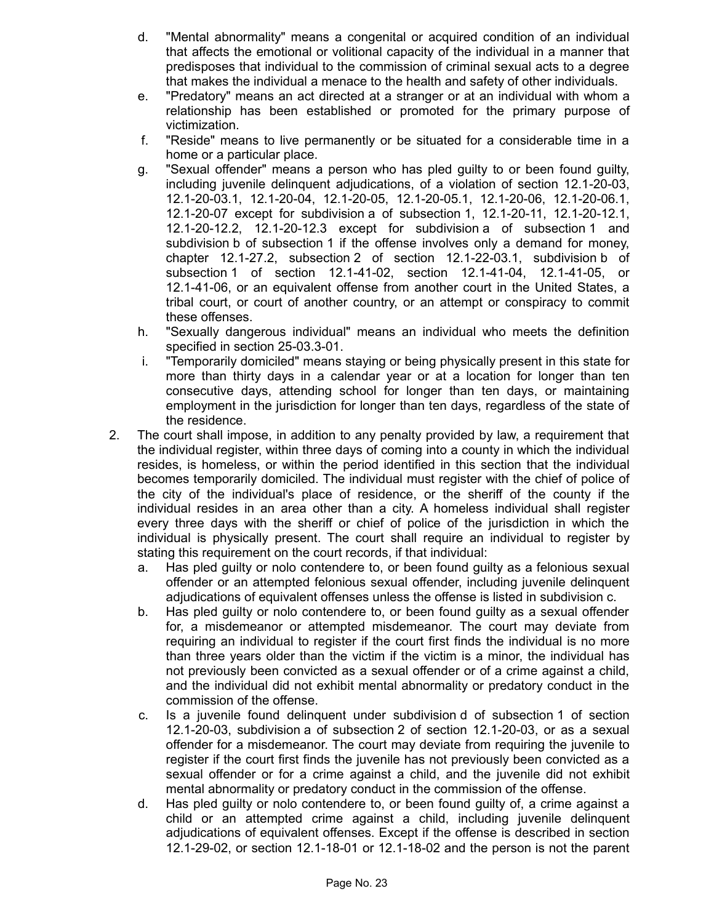- d. "Mental abnormality" means a congenital or acquired condition of an individual that affects the emotional or volitional capacity of the individual in a manner that predisposes that individual to the commission of criminal sexual acts to a degree that makes the individual a menace to the health and safety of other individuals.
- e. "Predatory" means an act directed at a stranger or at an individual with whom a relationship has been established or promoted for the primary purpose of victimization.
- f. "Reside" means to live permanently or be situated for a considerable time in a home or a particular place.
- g. "Sexual offender" means a person who has pled guilty to or been found guilty, including juvenile delinquent adjudications, of a violation of section 12.1-20-03, 12.1-20-03.1, 12.1-20-04, 12.1-20-05, 12.1-20-05.1, 12.1-20-06, 12.1-20-06.1, 12.1-20-07 except for subdivision a of subsection 1, 12.1-20-11, 12.1-20-12.1, 12.1-20-12.2, 12.1-20-12.3 except for subdivision a of subsection 1 and subdivision b of subsection 1 if the offense involves only a demand for money, chapter 12.1-27.2, subsection 2 of section 12.1-22-03.1, subdivision b of subsection 1 of section 12.1-41-02, section 12.1-41-04, 12.1-41-05, or 12.1-41-06, or an equivalent offense from another court in the United States, a tribal court, or court of another country, or an attempt or conspiracy to commit these offenses.
- h. "Sexually dangerous individual" means an individual who meets the definition specified in section 25-03.3-01.
- i. "Temporarily domiciled" means staying or being physically present in this state for more than thirty days in a calendar year or at a location for longer than ten consecutive days, attending school for longer than ten days, or maintaining employment in the jurisdiction for longer than ten days, regardless of the state of the residence.
- 2. The court shall impose, in addition to any penalty provided by law, a requirement that the individual register, within three days of coming into a county in which the individual resides, is homeless, or within the period identified in this section that the individual becomes temporarily domiciled. The individual must register with the chief of police of the city of the individual's place of residence, or the sheriff of the county if the individual resides in an area other than a city. A homeless individual shall register every three days with the sheriff or chief of police of the jurisdiction in which the individual is physically present. The court shall require an individual to register by stating this requirement on the court records, if that individual:
	- a. Has pled guilty or nolo contendere to, or been found guilty as a felonious sexual offender or an attempted felonious sexual offender, including juvenile delinquent adjudications of equivalent offenses unless the offense is listed in subdivision c.
	- b. Has pled guilty or nolo contendere to, or been found guilty as a sexual offender for, a misdemeanor or attempted misdemeanor. The court may deviate from requiring an individual to register if the court first finds the individual is no more than three years older than the victim if the victim is a minor, the individual has not previously been convicted as a sexual offender or of a crime against a child, and the individual did not exhibit mental abnormality or predatory conduct in the commission of the offense.
	- c. Is a juvenile found delinquent under subdivision d of subsection 1 of section 12.1-20-03, subdivision a of subsection 2 of section 12.1-20-03, or as a sexual offender for a misdemeanor. The court may deviate from requiring the juvenile to register if the court first finds the juvenile has not previously been convicted as a sexual offender or for a crime against a child, and the juvenile did not exhibit mental abnormality or predatory conduct in the commission of the offense.
	- d. Has pled guilty or nolo contendere to, or been found guilty of, a crime against a child or an attempted crime against a child, including juvenile delinquent adjudications of equivalent offenses. Except if the offense is described in section 12.1-29-02, or section 12.1-18-01 or 12.1-18-02 and the person is not the parent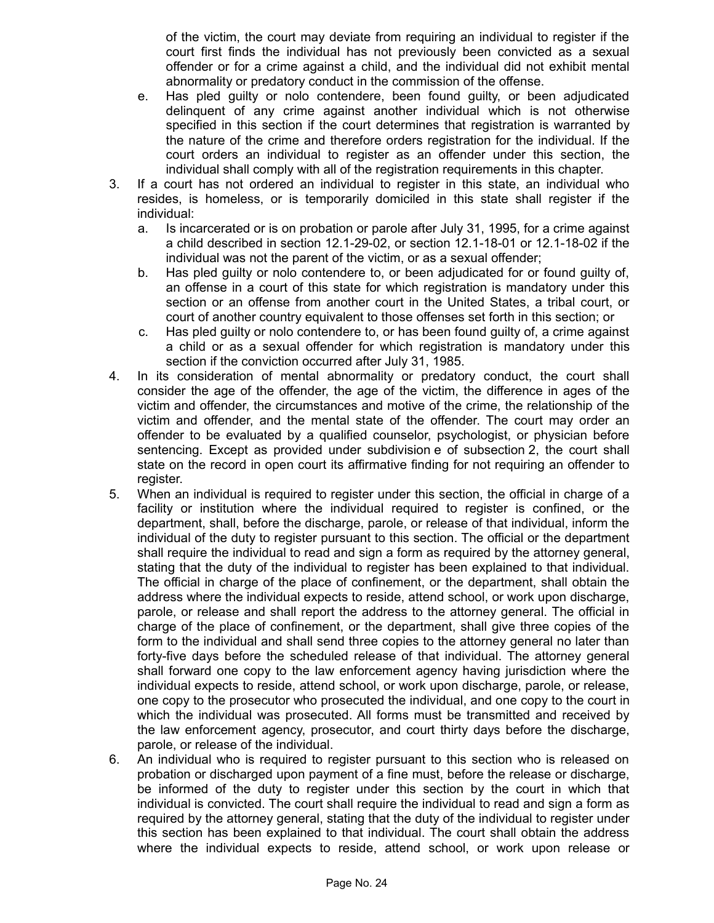of the victim, the court may deviate from requiring an individual to register if the court first finds the individual has not previously been convicted as a sexual offender or for a crime against a child, and the individual did not exhibit mental abnormality or predatory conduct in the commission of the offense.

- e. Has pled guilty or nolo contendere, been found guilty, or been adjudicated delinquent of any crime against another individual which is not otherwise specified in this section if the court determines that registration is warranted by the nature of the crime and therefore orders registration for the individual. If the court orders an individual to register as an offender under this section, the individual shall comply with all of the registration requirements in this chapter.
- 3. If a court has not ordered an individual to register in this state, an individual who resides, is homeless, or is temporarily domiciled in this state shall register if the individual:
	- a. Is incarcerated or is on probation or parole after July 31, 1995, for a crime against a child described in section 12.1-29-02, or section 12.1-18-01 or 12.1-18-02 if the individual was not the parent of the victim, or as a sexual offender;
	- b. Has pled guilty or nolo contendere to, or been adjudicated for or found guilty of, an offense in a court of this state for which registration is mandatory under this section or an offense from another court in the United States, a tribal court, or court of another country equivalent to those offenses set forth in this section; or
	- c. Has pled guilty or nolo contendere to, or has been found guilty of, a crime against a child or as a sexual offender for which registration is mandatory under this section if the conviction occurred after July 31, 1985.
- 4. In its consideration of mental abnormality or predatory conduct, the court shall consider the age of the offender, the age of the victim, the difference in ages of the victim and offender, the circumstances and motive of the crime, the relationship of the victim and offender, and the mental state of the offender. The court may order an offender to be evaluated by a qualified counselor, psychologist, or physician before sentencing. Except as provided under subdivision e of subsection 2, the court shall state on the record in open court its affirmative finding for not requiring an offender to register.
- 5. When an individual is required to register under this section, the official in charge of a facility or institution where the individual required to register is confined, or the department, shall, before the discharge, parole, or release of that individual, inform the individual of the duty to register pursuant to this section. The official or the department shall require the individual to read and sign a form as required by the attorney general, stating that the duty of the individual to register has been explained to that individual. The official in charge of the place of confinement, or the department, shall obtain the address where the individual expects to reside, attend school, or work upon discharge, parole, or release and shall report the address to the attorney general. The official in charge of the place of confinement, or the department, shall give three copies of the form to the individual and shall send three copies to the attorney general no later than forty-five days before the scheduled release of that individual. The attorney general shall forward one copy to the law enforcement agency having jurisdiction where the individual expects to reside, attend school, or work upon discharge, parole, or release, one copy to the prosecutor who prosecuted the individual, and one copy to the court in which the individual was prosecuted. All forms must be transmitted and received by the law enforcement agency, prosecutor, and court thirty days before the discharge, parole, or release of the individual.
- 6. An individual who is required to register pursuant to this section who is released on probation or discharged upon payment of a fine must, before the release or discharge, be informed of the duty to register under this section by the court in which that individual is convicted. The court shall require the individual to read and sign a form as required by the attorney general, stating that the duty of the individual to register under this section has been explained to that individual. The court shall obtain the address where the individual expects to reside, attend school, or work upon release or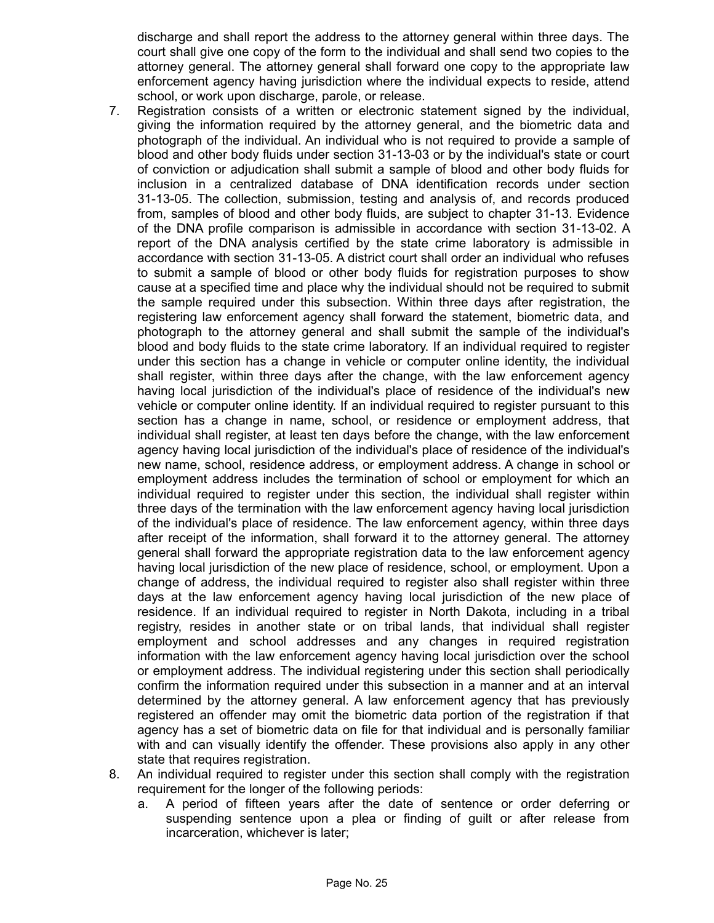discharge and shall report the address to the attorney general within three days. The court shall give one copy of the form to the individual and shall send two copies to the attorney general. The attorney general shall forward one copy to the appropriate law enforcement agency having jurisdiction where the individual expects to reside, attend school, or work upon discharge, parole, or release.

- 7. Registration consists of a written or electronic statement signed by the individual, giving the information required by the attorney general, and the biometric data and photograph of the individual. An individual who is not required to provide a sample of blood and other body fluids under section 31-13-03 or by the individual's state or court of conviction or adjudication shall submit a sample of blood and other body fluids for inclusion in a centralized database of DNA identification records under section 31-13-05. The collection, submission, testing and analysis of, and records produced from, samples of blood and other body fluids, are subject to chapter 31-13. Evidence of the DNA profile comparison is admissible in accordance with section 31-13-02. A report of the DNA analysis certified by the state crime laboratory is admissible in accordance with section 31-13-05. A district court shall order an individual who refuses to submit a sample of blood or other body fluids for registration purposes to show cause at a specified time and place why the individual should not be required to submit the sample required under this subsection. Within three days after registration, the registering law enforcement agency shall forward the statement, biometric data, and photograph to the attorney general and shall submit the sample of the individual's blood and body fluids to the state crime laboratory. If an individual required to register under this section has a change in vehicle or computer online identity, the individual shall register, within three days after the change, with the law enforcement agency having local jurisdiction of the individual's place of residence of the individual's new vehicle or computer online identity. If an individual required to register pursuant to this section has a change in name, school, or residence or employment address, that individual shall register, at least ten days before the change, with the law enforcement agency having local jurisdiction of the individual's place of residence of the individual's new name, school, residence address, or employment address. A change in school or employment address includes the termination of school or employment for which an individual required to register under this section, the individual shall register within three days of the termination with the law enforcement agency having local jurisdiction of the individual's place of residence. The law enforcement agency, within three days after receipt of the information, shall forward it to the attorney general. The attorney general shall forward the appropriate registration data to the law enforcement agency having local jurisdiction of the new place of residence, school, or employment. Upon a change of address, the individual required to register also shall register within three days at the law enforcement agency having local jurisdiction of the new place of residence. If an individual required to register in North Dakota, including in a tribal registry, resides in another state or on tribal lands, that individual shall register employment and school addresses and any changes in required registration information with the law enforcement agency having local jurisdiction over the school or employment address. The individual registering under this section shall periodically confirm the information required under this subsection in a manner and at an interval determined by the attorney general. A law enforcement agency that has previously registered an offender may omit the biometric data portion of the registration if that agency has a set of biometric data on file for that individual and is personally familiar with and can visually identify the offender. These provisions also apply in any other state that requires registration.
- 8. An individual required to register under this section shall comply with the registration requirement for the longer of the following periods:
	- a. A period of fifteen years after the date of sentence or order deferring or suspending sentence upon a plea or finding of guilt or after release from incarceration, whichever is later;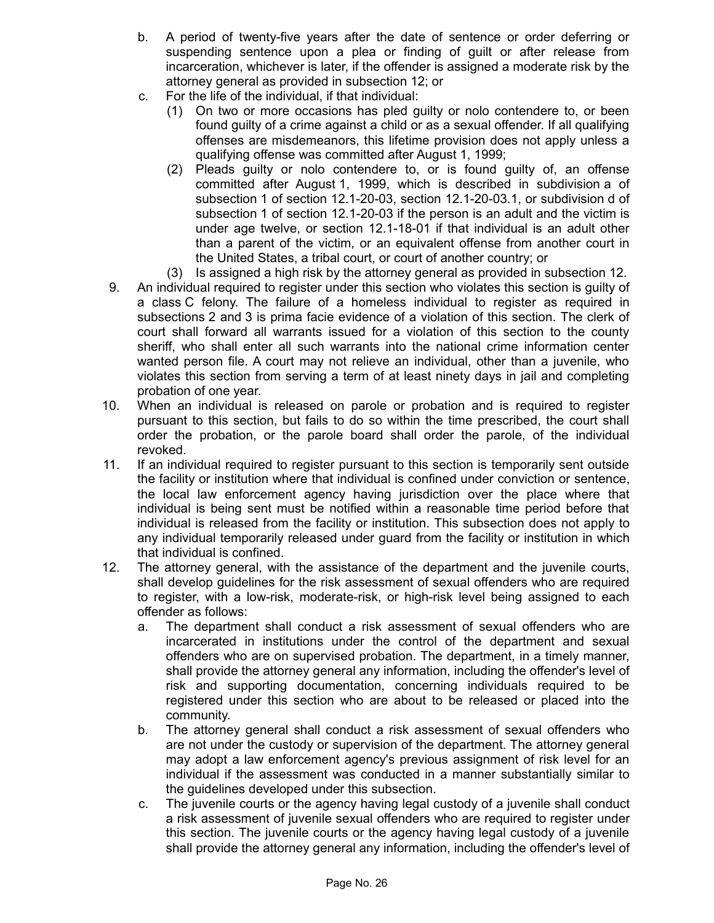- b. A period of twenty-five years after the date of sentence or order deferring or suspending sentence upon a plea or finding of guilt or after release from incarceration, whichever is later, if the offender is assigned a moderate risk by the attorney general as provided in subsection 12; or
- c. For the life of the individual, if that individual:
	- (1) On two or more occasions has pled guilty or nolo contendere to, or been found guilty of a crime against a child or as a sexual offender. If all qualifying offenses are misdemeanors, this lifetime provision does not apply unless a qualifying offense was committed after August 1, 1999;
	- (2) Pleads guilty or nolo contendere to, or is found guilty of, an offense committed after August 1, 1999, which is described in subdivision a of subsection 1 of section 12.1-20-03, section 12.1-20-03.1, or subdivision d of subsection 1 of section 12.1-20-03 if the person is an adult and the victim is under age twelve, or section 12.1-18-01 if that individual is an adult other than a parent of the victim, or an equivalent offense from another court in the United States, a tribal court, or court of another country; or
	- (3) Is assigned a high risk by the attorney general as provided in subsection 12.
- 9. An individual required to register under this section who violates this section is guilty of a class C felony. The failure of a homeless individual to register as required in subsections 2 and 3 is prima facie evidence of a violation of this section. The clerk of court shall forward all warrants issued for a violation of this section to the county sheriff, who shall enter all such warrants into the national crime information center wanted person file. A court may not relieve an individual, other than a juvenile, who violates this section from serving a term of at least ninety days in jail and completing probation of one year.
- 10. When an individual is released on parole or probation and is required to register pursuant to this section, but fails to do so within the time prescribed, the court shall order the probation, or the parole board shall order the parole, of the individual revoked.
- 11. If an individual required to register pursuant to this section is temporarily sent outside the facility or institution where that individual is confined under conviction or sentence, the local law enforcement agency having jurisdiction over the place where that individual is being sent must be notified within a reasonable time period before that individual is released from the facility or institution. This subsection does not apply to any individual temporarily released under guard from the facility or institution in which that individual is confined.
- 12. The attorney general, with the assistance of the department and the juvenile courts, shall develop guidelines for the risk assessment of sexual offenders who are required to register, with a low-risk, moderate-risk, or high-risk level being assigned to each offender as follows:
	- a. The department shall conduct a risk assessment of sexual offenders who are incarcerated in institutions under the control of the department and sexual offenders who are on supervised probation. The department, in a timely manner, shall provide the attorney general any information, including the offender's level of risk and supporting documentation, concerning individuals required to be registered under this section who are about to be released or placed into the community.
	- b. The attorney general shall conduct a risk assessment of sexual offenders who are not under the custody or supervision of the department. The attorney general may adopt a law enforcement agency's previous assignment of risk level for an individual if the assessment was conducted in a manner substantially similar to the guidelines developed under this subsection.
	- c. The juvenile courts or the agency having legal custody of a juvenile shall conduct a risk assessment of juvenile sexual offenders who are required to register under this section. The juvenile courts or the agency having legal custody of a juvenile shall provide the attorney general any information, including the offender's level of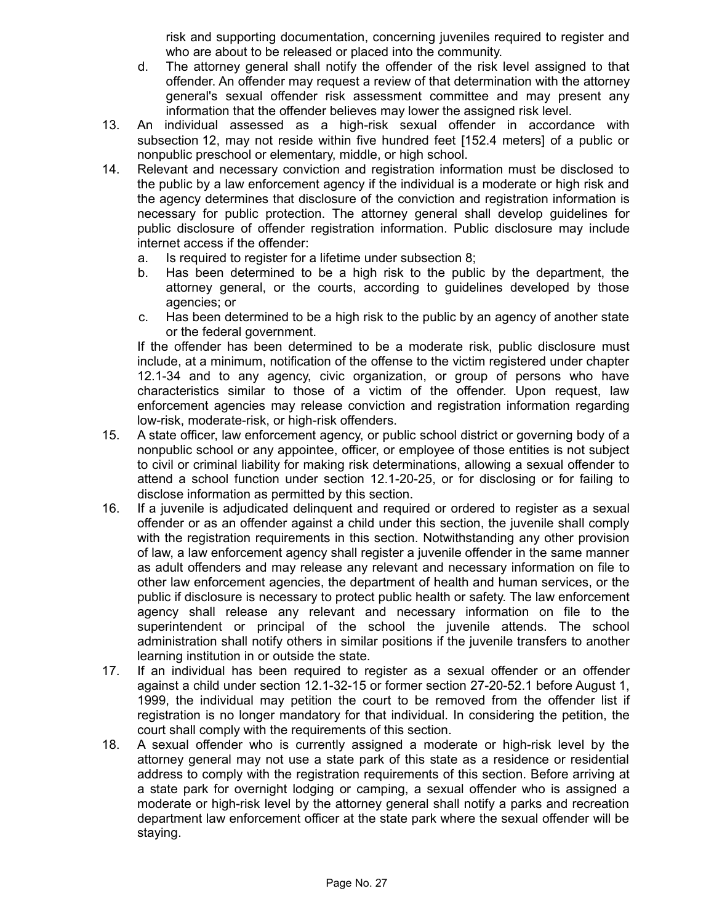risk and supporting documentation, concerning juveniles required to register and who are about to be released or placed into the community.

- d. The attorney general shall notify the offender of the risk level assigned to that offender. An offender may request a review of that determination with the attorney general's sexual offender risk assessment committee and may present any information that the offender believes may lower the assigned risk level.
- 13. An individual assessed as a high-risk sexual offender in accordance with subsection 12, may not reside within five hundred feet [152.4 meters] of a public or nonpublic preschool or elementary, middle, or high school.
- 14. Relevant and necessary conviction and registration information must be disclosed to the public by a law enforcement agency if the individual is a moderate or high risk and the agency determines that disclosure of the conviction and registration information is necessary for public protection. The attorney general shall develop guidelines for public disclosure of offender registration information. Public disclosure may include internet access if the offender:
	- a. Is required to register for a lifetime under subsection 8;
	- b. Has been determined to be a high risk to the public by the department, the attorney general, or the courts, according to guidelines developed by those agencies; or
	- c. Has been determined to be a high risk to the public by an agency of another state or the federal government.

If the offender has been determined to be a moderate risk, public disclosure must include, at a minimum, notification of the offense to the victim registered under chapter 12.1-34 and to any agency, civic organization, or group of persons who have characteristics similar to those of a victim of the offender. Upon request, law enforcement agencies may release conviction and registration information regarding low-risk, moderate-risk, or high-risk offenders.

- 15. A state officer, law enforcement agency, or public school district or governing body of a nonpublic school or any appointee, officer, or employee of those entities is not subject to civil or criminal liability for making risk determinations, allowing a sexual offender to attend a school function under section 12.1-20-25, or for disclosing or for failing to disclose information as permitted by this section.
- 16. If a juvenile is adjudicated delinquent and required or ordered to register as a sexual offender or as an offender against a child under this section, the juvenile shall comply with the registration requirements in this section. Notwithstanding any other provision of law, a law enforcement agency shall register a juvenile offender in the same manner as adult offenders and may release any relevant and necessary information on file to other law enforcement agencies, the department of health and human services, or the public if disclosure is necessary to protect public health or safety. The law enforcement agency shall release any relevant and necessary information on file to the superintendent or principal of the school the juvenile attends. The school administration shall notify others in similar positions if the juvenile transfers to another learning institution in or outside the state.
- 17. If an individual has been required to register as a sexual offender or an offender against a child under section 12.1-32-15 or former section 27-20-52.1 before August 1, 1999, the individual may petition the court to be removed from the offender list if registration is no longer mandatory for that individual. In considering the petition, the court shall comply with the requirements of this section.
- 18. A sexual offender who is currently assigned a moderate or high-risk level by the attorney general may not use a state park of this state as a residence or residential address to comply with the registration requirements of this section. Before arriving at a state park for overnight lodging or camping, a sexual offender who is assigned a moderate or high-risk level by the attorney general shall notify a parks and recreation department law enforcement officer at the state park where the sexual offender will be staying.